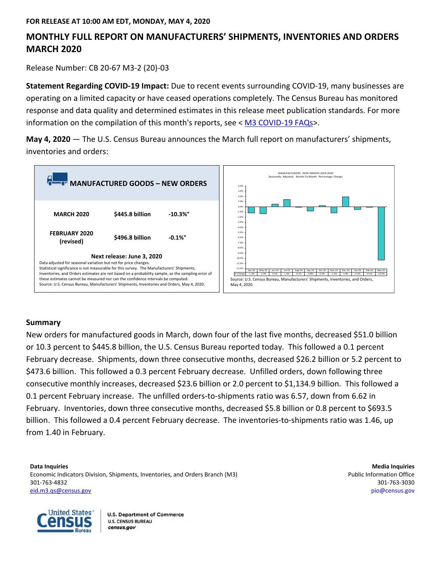# **MONTHLY FULL REPORT ON MANUFACTURERS' SHIPMENTS, INVENTORIES AND ORDERS MARCH 2020**

Release Number: CB 20-67 M3-2 (20)-03

**Statement Regarding COVID-19 Impact:** Due to recent events surrounding COVID-19, many businesses are operating on a limited capacity or have ceased operations completely. The Census Bureau has monitored response and data quality and determined estimates in this release meet publication standards. For more information on the compilation of this month's reports, see < M3 COVID-19 FAQs>.

**May 4, 2020** — The U.S. Census Bureau announces the March full report on manufacturers' shipments, inventories and orders:



# **Summary**

New orders for manufactured goods in March, down four of the last five months, decreased \$51.0 billion or 10.3 percent to \$445.8 billion, the U.S. Census Bureau reported today. This followed a 0.1 percent February decrease. Shipments, down three consecutive months, decreased \$26.2 billion or 5.2 percent to \$473.6 billion. This followed a 0.3 percent February decrease. Unfilled orders, down following three consecutive monthly increases, decreased \$23.6 billion or 2.0 percent to \$1,134.9 billion. This followed a 0.1 percent February increase. The unfilled orders-to-shipments ratio was 6.57, down from 6.62 in February. Inventories, down three consecutive months, decreased \$5.8 billion or 0.8 percent to \$693.5 billion. This followed a 0.4 percent February decrease. The inventories-to-shipments ratio was 1.46, up from 1.40 in February.

**Data Inquiries** Media Inquiries **Media Inquiries Media Inquiries Media Inquiries Media Inquiries Media Inquiries** Economic Indicators Division, Shipments, Inventories, and Orders Branch (M3) **Public Information Office** example and Orders Branch (M3) 301-763-4832 301-763-3030 eid.m3.qs@census.gov pio@census.gov

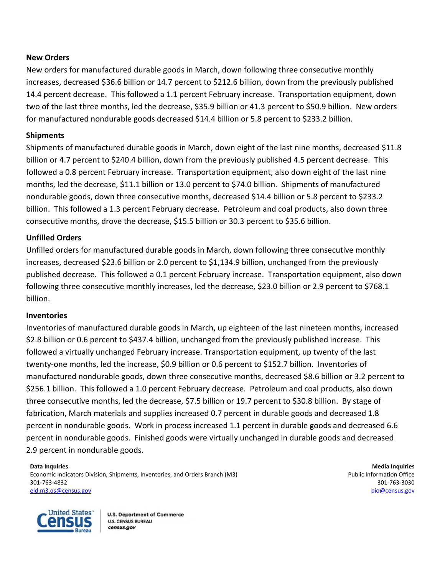# **New Orders**

New orders for manufactured durable goods in March, down following three consecutive monthly increases, decreased \$36.6 billion or 14.7 percent to \$212.6 billion, down from the previously published 14.4 percent decrease. This followed a 1.1 percent February increase. Transportation equipment, down two of the last three months, led the decrease, \$35.9 billion or 41.3 percent to \$50.9 billion. New orders for manufactured nondurable goods decreased \$14.4 billion or 5.8 percent to \$233.2 billion.

# **Shipments**

Shipments of manufactured durable goods in March, down eight of the last nine months, decreased \$11.8 billion or 4.7 percent to \$240.4 billion, down from the previously published 4.5 percent decrease. This followed a 0.8 percent February increase. Transportation equipment, also down eight of the last nine months, led the decrease, \$11.1 billion or 13.0 percent to \$74.0 billion. Shipments of manufactured nondurable goods, down three consecutive months, decreased \$14.4 billion or 5.8 percent to \$233.2 billion. This followed a 1.3 percent February decrease. Petroleum and coal products, also down three consecutive months, drove the decrease, \$15.5 billion or 30.3 percent to \$35.6 billion.

# **Unfilled Orders**

Unfilled orders for manufactured durable goods in March, down following three consecutive monthly increases, decreased \$23.6 billion or 2.0 percent to \$1,134.9 billion, unchanged from the previously published decrease. This followed a 0.1 percent February increase. Transportation equipment, also down following three consecutive monthly increases, led the decrease, \$23.0 billion or 2.9 percent to \$768.1 billion.

# **Inventories**

Inventories of manufactured durable goods in March, up eighteen of the last nineteen months, increased \$2.8 billion or 0.6 percent to \$437.4 billion, unchanged from the previously published increase. This followed a virtually unchanged February increase. Transportation equipment, up twenty of the last twenty-one months, led the increase, \$0.9 billion or 0.6 percent to \$152.7 billion. Inventories of manufactured nondurable goods, down three consecutive months, decreased \$8.6 billion or 3.2 percent to \$256.1 billion. This followed a 1.0 percent February decrease. Petroleum and coal products, also down three consecutive months, led the decrease, \$7.5 billion or 19.7 percent to \$30.8 billion. By stage of fabrication, March materials and supplies increased 0.7 percent in durable goods and decreased 1.8 percent in nondurable goods. Work in process increased 1.1 percent in durable goods and decreased 6.6 percent in nondurable goods. Finished goods were virtually unchanged in durable goods and decreased 2.9 percent in nondurable goods.

**Data Inquiries Media Inquiries Media Inquiries Media Inquiries Media Inquiries Media Inquiries Media Inquiries** Economic Indicators Division, Shipments, Inventories, and Orders Branch (M3) **Public Information Office** example and Orders Branch (M3) 301-763-4832 301-763-3030 eid.m3.qs@census.gov pio@census.gov

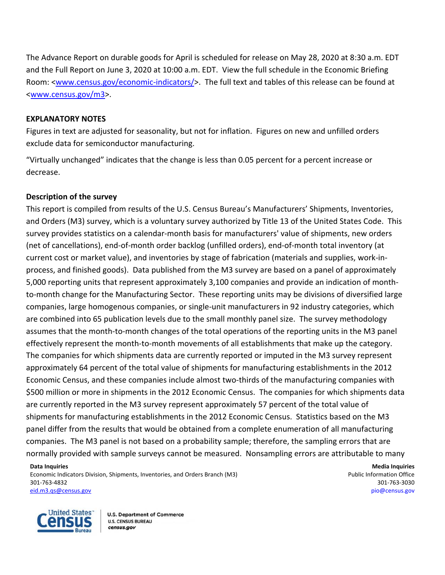The Advance Report on durable goods for April is scheduled for release on May 28, 2020 at 8:30 a.m. EDT and the Full Report on June 3, 2020 at 10:00 a.m. EDT. View the full schedule in the Economic Briefing Room: <www.census.gov/economic-indicators/>. The full text and tables of this release can be found at <www.census.gov/m3>.

# **EXPLANATORY NOTES**

Figures in text are adjusted for seasonality, but not for inflation. Figures on new and unfilled orders exclude data for semiconductor manufacturing.

"Virtually unchanged" indicates that the change is less than 0.05 percent for a percent increase or decrease.

# **Description of the survey**

This report is compiled from results of the U.S. Census Bureau's Manufacturers' Shipments, Inventories, and Orders (M3) survey, which is a voluntary survey authorized by Title 13 of the United States Code. This survey provides statistics on a calendar-month basis for manufacturers' value of shipments, new orders (net of cancellations), end-of-month order backlog (unfilled orders), end-of-month total inventory (at current cost or market value), and inventories by stage of fabrication (materials and supplies, work-inprocess, and finished goods). Data published from the M3 survey are based on a panel of approximately 5,000 reporting units that represent approximately 3,100 companies and provide an indication of monthto-month change for the Manufacturing Sector. These reporting units may be divisions of diversified large companies, large homogenous companies, or single-unit manufacturers in 92 industry categories, which are combined into 65 publication levels due to the small monthly panel size. The survey methodology assumes that the month-to-month changes of the total operations of the reporting units in the M3 panel effectively represent the month-to-month movements of all establishments that make up the category. The companies for which shipments data are currently reported or imputed in the M3 survey represent approximately 64 percent of the total value of shipments for manufacturing establishments in the 2012 Economic Census, and these companies include almost two-thirds of the manufacturing companies with \$500 million or more in shipments in the 2012 Economic Census. The companies for which shipments data are currently reported in the M3 survey represent approximately 57 percent of the total value of shipments for manufacturing establishments in the 2012 Economic Census. Statistics based on the M3 panel differ from the results that would be obtained from a complete enumeration of all manufacturing companies. The M3 panel is not based on a probability sample; therefore, the sampling errors that are normally provided with sample surveys cannot be measured. Nonsampling errors are attributable to many

**Data Inquiries Media Inquiries**  Economic Indicators Division, Shipments, Inventories, and Orders Branch (M3) **Public Information Office** expansion office 301-763-4832 301-763-3030

eid.m3.qs@census.gov pio@census.gov

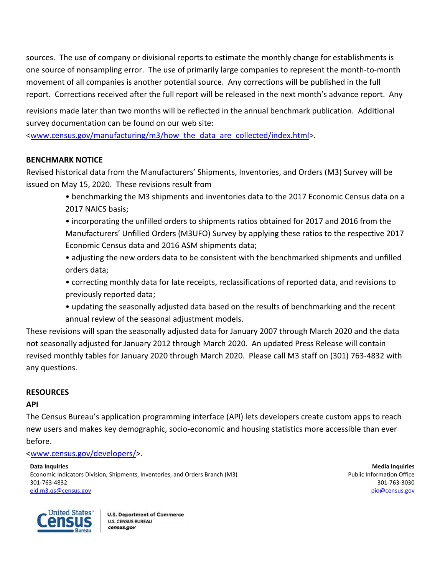sources. The use of company or divisional reports to estimate the monthly change for establishments is one source of nonsampling error. The use of primarily large companies to represent the month-to-month movement of all companies is another potential source. Any corrections will be published in the full report. Corrections received after the full report will be released in the next month's advance report. Any

revisions made later than two months will be reflected in the annual benchmark publication.Additional survey documentation can be found on our web site:

<www.census.gov/manufacturing/m3/how the data are collected/index.html>.

# **BENCHMARK NOTICE**

Revised historical data from the Manufacturers' Shipments, Inventories, and Orders (M3) Survey will be issued on May 15, 2020. These revisions result from

> • benchmarking the M3 shipments and inventories data to the 2017 Economic Census data on a 2017 NAICS basis;

> • incorporating the unfilled orders to shipments ratios obtained for 2017 and 2016 from the Manufacturers' Unfilled Orders (M3UFO) Survey by applying these ratios to the respective 2017 Economic Census data and 2016 ASM shipments data;

> • adjusting the new orders data to be consistent with the benchmarked shipments and unfilled orders data;

• correcting monthly data for late receipts, reclassifications of reported data, and revisions to previously reported data;

• updating the seasonally adjusted data based on the results of benchmarking and the recent annual review of the seasonal adjustment models.

These revisions will span the seasonally adjusted data for January 2007 through March 2020 and the data not seasonally adjusted for January 2012 through March 2020. An updated Press Release will contain revised monthly tables for January 2020 through March 2020. Please call M3 staff on (301) 763-4832 with any questions.

# **RESOURCES**

# **API**

The Census Bureau's application programming interface (API) lets developers create custom apps to reach new users and makes key demographic, socio-economic and housing statistics more accessible than ever before.

<www.census.gov/developers/>.

**Data Inquiries** Media Inquiries **Media Inquiries Media Inquiries Media Inquiries Media Inquiries Media Inquiries** Economic Indicators Division, Shipments, Inventories, and Orders Branch (M3) **Public Information Office** example and Orders Branch (M3) 301-763-4832 301-763-3030 eid.m3.qs@census.gov pio@census.gov

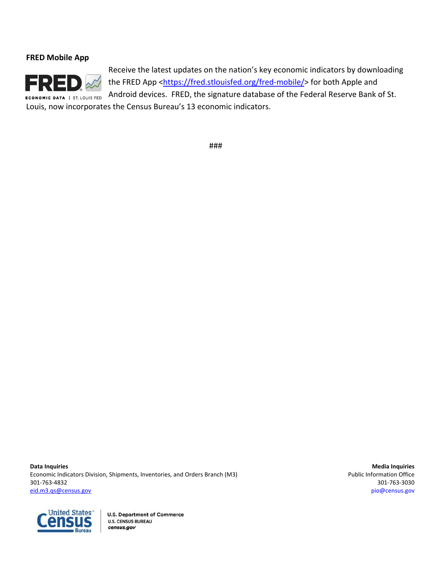# **FRED Mobile App**



Receive the latest updates on the nation's key economic indicators by downloading the FRED App <https://fred.stlouisfed.org/fred-mobile/> for both Apple and Android devices. FRED, the signature database of the Federal Reserve Bank of St. Louis, now incorporates the Census Bureau's 13 economic indicators.

###

**Data Inquiries** Media Inquiries **Media Inquiries Media Inquiries Media Inquiries Media Inquiries Media Inquiries** Economic Indicators Division, Shipments, Inventories, and Orders Branch (M3) **Public Information Office** example and Orders Branch (M3) 301-763-4832 301-763-3030 eid.m3.qs@census.gov pio@census.gov

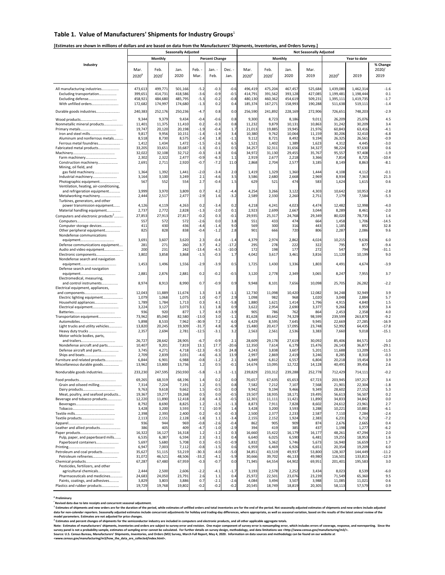## Table 1. Value of Manufacturers' Shipments for Industry Groups<sup>1</sup>

## **[Estimates are shown in millions of dollars and are based on data from the Manufacturers' Shipments, Inventories, and Orders Survey.]**

|                                                                      | <b>Seasonally Adjusted</b> |                  |                  |                   |                       |                   | <b>Not Seasonally Adjusted</b> |                  |                  |                  |                    |                    |                  |  |
|----------------------------------------------------------------------|----------------------------|------------------|------------------|-------------------|-----------------------|-------------------|--------------------------------|------------------|------------------|------------------|--------------------|--------------------|------------------|--|
|                                                                      |                            | <b>Monthly</b>   |                  |                   | <b>Percent Change</b> |                   |                                |                  | Monthly          |                  |                    | Year to date       |                  |  |
| Industry                                                             |                            |                  |                  |                   |                       |                   |                                |                  |                  |                  |                    |                    | % Change         |  |
|                                                                      | Mar.                       | Feb.             | Jan.             | Feb.              | Jan. -                | Dec. -            | Mar.                           | Feb.             | Jan.             | Mar.             |                    |                    | 2020/            |  |
|                                                                      | 2020 <sup>p</sup>          | 2020             | 2020             | Mar.              | Feb.                  | Jan.              | 2020 <sup>p</sup>              | 2020             | 2020             | 2019             | 2020 <sup>p</sup>  | 2019               | 2019             |  |
|                                                                      |                            |                  |                  |                   |                       |                   |                                |                  |                  |                  |                    |                    |                  |  |
| All manufacturing industries                                         | 473,613                    | 499,771          | 501,166          | $-5.2$            | $-0.3$                | $-0.6$            | 496,419                        | 475,204          | 467,457          | 525,684          | 1,439,080          | 1,462,314          | $-1.6$           |  |
| Excluding transportation                                             | 399,651                    | 414,731          | 418,586          | $-3.6$            | $-0.9$                | $-0.5$            | 414,791                        | 391,562          | 393,128          | 427,085          | 1,199,481          | 1,198,444          | 0.1              |  |
| Excluding defense                                                    | 458,921                    | 484,680          | 485,795          | $-5.3$            | $-0.2$                | $-0.8$            | 480,130                        | 460,362          | 454,619          | 509,231          | 1,395,111          | 1,419,735          | $-1.7$           |  |
| With unfilled orders                                                 | 172,682                    | 174,997          | 174,680          | $-1.3$            | 0.2                   | 0.4               | 185,374                        | 167,271          | 158,993          | 190,288          | 511,638            | 519,111            | $-1.4$           |  |
| Durable goods industries                                             | 240,383                    | 252,176          | 250,236          | $-4.7$            | 0.8                   | 0.0               | 256,590                        | 241,892          | 228,169          | 272,906          | 726,651            | 748,203            | $-2.9$           |  |
|                                                                      | 9,344                      | 9,379            | 9,434            | $-0.4$            | $-0.6$                | 0.8               | 9,300                          | 8,723            | 8,186            | 9,011            | 26,209             | 25,076             | 4.5              |  |
| Nonmetallic mineral products                                         | 11,401                     | 11,375           | 11,410           | 0.2               | $-0.3$                | 0.8               | 11,232                         | 9,879            | 10,131           | 10,863           | 31,242             | 30,209             | 3.4              |  |
|                                                                      | 19,747                     | 20,120           | 20,198           | $-1.9$            | $-0.4$                | 1.7               | 21,013                         | 19,885           | 19,945           | 21,976           | 60,843             | 63,416             | $-4.1$           |  |
| Iron and steel mills                                                 | 9,817                      | 9,956            | 10,151           | $-1.4$            | $-1.9$                | 3.4               | 10,380                         | 9,762            | 10,064           | 11,159           | 30,206             | 32,410             | $-6.8$           |  |
| Aluminum and nonferrous metals                                       | 8,518                      | 8,730            | 8,575            | $-2.4$            | 1.8                   | $-1.1$            | 9,112                          | 8,721            | 8,492            | 9,194            | 26,325             | 26,561             | $-0.9$           |  |
| Ferrous metal foundries<br>Fabricated metal products                 | 1,412<br>33,205            | 1,434<br>33,651  | 1,472<br>33,687  | $-1.5$<br>$-1.3$  | $-2.6$<br>$-0.1$      | 6.5<br>0.5        | 1,521<br>34,257                | 1,402<br>32,311  | 1,389<br>31,656  | 1,623<br>34,327  | 4,312<br>98,224    | 4,445<br>97,630    | $-3.0$<br>0.6    |  |
|                                                                      | 32,022                     | 32,108           | 32,712           | $-0.3$            | $-1.8$                | 0.6               | 34,972                         | 31,130           | 29,455           | 35,767           | 95,557             | 97,408             | $-1.9$           |  |
|                                                                      | 2,302                      | 2,322            | 2,477            | $-0.9$            | $-6.3$                | 1.1               | 2,919                          | 2,677            | 2,218            | 3,366            | 7,814              | 8,725              | $-10.4$          |  |
| Construction machinery                                               | 2,691                      | 2,711            | 2,920            | $-0.7$            | $-7.2$                | 11.0              | 2,868                          | 2,704            | 2,577            | 3,185            | 8,149              | 8,863              | $-8.1$           |  |
| Mining, oil field, and                                               |                            |                  |                  |                   |                       |                   |                                |                  |                  |                  |                    |                    |                  |  |
| gas field machinery                                                  | 1,364                      | 1,392            | 1,441            | $-2.0$<br>2.1     | $-3.4$                | 2.0               | 1,419                          | 1,329            | 1,360            | 1,444<br>2,969   | 4,108<br>8,934     | 4,112              | $-0.1$<br>21.3   |  |
| Industrial machinery<br>Photographic equipment                       | 3,164<br>567               | 3,100<br>552     | 3,249<br>554     | 2.7               | $-4.6$<br>$-0.4$      | 3.5<br>1.5        | 3,586<br>629                   | 2,680<br>521     | 2,668<br>474     | 583              | 1,624              | 7,363<br>1,615     | 0.6              |  |
| Ventilation, heating, air-conditioning,                              |                            |                  |                  |                   |                       |                   |                                |                  |                  |                  |                    |                    |                  |  |
| and refrigeration equipment                                          | 3,999                      | 3,970            | 3,809            | 0.7               | 4.2                   | $-4.4$            | 4,254                          | 3,266            | 3,122            | 4,303            | 10,642             | 10,953             | $-2.8$           |  |
| Metalworking machinery                                               | 2,444                      | 2,517            | 2,477            | $-2.9$            | 1.6                   | $-3.2$            | 2,589                          | 2,330            | 2,260            | 2,751            | 7,179              | 7,584              | $-5.3$           |  |
| Turbines, generators, and other                                      |                            |                  |                  |                   |                       |                   |                                |                  |                  |                  |                    |                    |                  |  |
| power transmission equipment<br>Material handling equipment          | 4,126<br>2,737             | 4,119<br>2,772   | 4,263<br>2,828   | 0.2<br>$-1.3$     | $-3.4$<br>$-2.0$      | 0.2<br>0.1        | 4,218<br>2,923                 | 4,241<br>2,699   | 4,023<br>2,667   | 4,474<br>3,044   | 12,482<br>8,289    | 12,998<br>8,461    | $-4.0$<br>$-2.0$ |  |
| Computers and electronic products <sup>2</sup>                       | 27,853                     | 27,913           | 27,817           | $-0.2$            | 0.3                   | $-0.1$            | 29,935                         | 25,317           | 24,768           | 29,349           | 80,020             | 78,735             | 1.6              |  |
|                                                                      | 557                        | 572              | 572              | $-2.6$            | 0.0                   | 3.8               | 551                            | 433              | 474              | 664              | 1,458              | 1,706              | $-14.5$          |  |
| Computer storage devices                                             | 411                        | 430              | 436              | $-4.4$            | $-1.4$                | 9.0               | 569                            | 300              | 316              | 443              | 1,185              | 892                | 32.8             |  |
| Other peripheral equipment                                           | 825                        | 828              | 838              | $-0.4$            | $-1.2$                | 2.8               | 901                            | 666              | 720              | 806              | 2,287              | 2,086              | 9.6              |  |
| Nondefense communications                                            |                            |                  |                  |                   |                       |                   |                                |                  |                  |                  |                    |                    |                  |  |
| Defense communications equipment                                     | 3,691<br>281               | 3,607<br>271     | 3,620<br>260     | 2.3<br>3.7        | $-0.4$<br>4.2         | $-1.4$<br>$-17.2$ | 4,379<br>295                   | 2,974<br>278     | 2,862<br>222     | 4,024<br>322     | 10,215<br>795      | 9,636<br>877       | 6.0<br>$-9.4$    |  |
| Audio and video equipment                                            | 200                        | 231              | 242              | $-13.4$           | $-4.5$                | $-10.0$           | 172                            | 198              | 177              | 272              | 547                | 794                | $-31.1$          |  |
| Electronic components                                                | 3,802                      | 3,858            | 3,868            | $-1.5$            | $-0.3$                | 1.7               | 4,042                          | 3,617            | 3,461            | 3,816            | 11,120             | 10,199             | 9.0              |  |
| Nondefense search and navigation                                     |                            |                  |                  |                   |                       |                   |                                |                  |                  |                  |                    |                    |                  |  |
|                                                                      | 1,453                      | 1,496            | 1,556            | $-2.9$            | $-3.9$                | 0.5               | 1,725                          | 1,430            | 1,336            | 1,803            | 4,491              | 4,674              | $-3.9$           |  |
| Defense search and navigation                                        | 2,881                      | 2,876            | 2,881            | 0.2               | $-0.2$                | $-0.5$            | 3,120                          | 2,778            | 2,349            | 3,065            | 8,247              | 7,955              | 3.7              |  |
| Electromedical, measuring,                                           |                            |                  |                  |                   |                       |                   |                                |                  |                  |                  |                    |                    |                  |  |
| and control instruments                                              | 8,974                      | 8,913            | 8,990            | 0.7               | $-0.9$                | 0.9               | 9,948                          | 8,101            | 7,656            | 10,098           | 25,705             | 26,282             | $-2.2$           |  |
| Electrical equipment, appliances,                                    |                            |                  |                  |                   |                       |                   |                                |                  |                  |                  |                    |                    |                  |  |
|                                                                      | 12,043                     | 11,889           | 11,674           | 1.3               | 1.8                   | $-1.1$            | 12,730                         | 11,098           | 10,420           | 12,082           | 34,248             | 32,949             | 3.9              |  |
| Electric lighting equipment                                          | 1,079                      | 1,068            | 1,075            | 1.0               | $-0.7$                | 2.9               | 1,098                          | 982              | 968              | 1,020            | 3,048              | 2,884              | 5.7              |  |
| Household appliances<br>Electrical equipment                         | 1,789<br>3,224             | 1,784<br>3,127   | 1,713<br>3,073   | 0.3<br>3.1        | 4.1<br>1.8            | $-5.8$<br>0.9     | 1,880<br>3,622                 | 1,621<br>2,954   | 1,414<br>2,690   | 1,796<br>3,377   | 4,915<br>9,266     | 4,840<br>8,959     | 1.5<br>3.4       |  |
|                                                                      | 936                        | 920              | 877              | 1.7               | 4.9                   | $-3.9$            | 905                            | 786              | 762              | 864              | 2,453              | 2,358              | 4.0              |  |
| Transportation equipment                                             | 73,962                     | 85,040           | 82,580           | $-13.0$           | 3.0                   | $-1.1$            | 81,628                         | 83,642           | 74,329           | 98,599           | 239,599            | 263,870            | $-9.2$           |  |
|                                                                      | 5,898                      | 8,533            | 7,962            | $-30.9$           | 7.2                   | 6.0               | 6,429                          | 8,595            | 7,645            | 9,945            | 22,669             | 27,285             | $-16.9$          |  |
| Light trucks and utility vehicles                                    | 13,820                     | 20,245           | 19,309           | $-31.7$           | 4.8                   | $-6.9$            | 15,480                         | 20,417           | 17,095           | 23,748           | 52,992             | 64,435             | $-17.8$          |  |
| Heavy duty trucks<br>Motor vehicle bodies, parts,                    | 2,357                      | 2,694            | 2,781            | $-12.5$           | $-3.1$                | 3.2               | 2,563                          | 2,561            | 2,536            | 3,383            | 7,660              | 9,018              | $-15.1$          |  |
|                                                                      | 26,727                     | 28,642           | 28,905           | $-6.7$            | $-0.9$                | 2.1               | 28,609                         | 29,178           | 27,619           | 30,092           | 85,406             | 84,571             | 1.0              |  |
| Nondefense aircraft and parts                                        | 10,407                     | 9,201            | 7,819            | 13.1              | 17.7                  | $-20.6$           | 12,350                         | 7,614            | 6,179            | 15,476           | 26,143             | 36,877             | $-29.1$          |  |
| Defense aircraft and parts                                           | 3,745                      | 4,271            | 4,718            | $-12.3$           | $-9.5$                | 24.8              | 4,243                          | 3,838            | 3,607            | 5,201            | 11,688             | 13,209             | $-11.5$          |  |
| Ships and boats                                                      | 2,709                      | 2,839            | 3,031            | $-4.6$            | $-6.3$                | 13.9              | 2,997                          | 2,869            | 2,419            | 3,246            | 8,285              | 8,310              | $-0.3$           |  |
| Furniture and related products<br>Miscellaneous durable goods        | 6,844<br>13,962            | 6,901<br>13,800  | 6,988<br>13,736  | $-0.8$<br>1.2     | $-1.2$<br>0.5         | 2.1<br>$-0.1$     | 6,849<br>14,674                | 6,812<br>13,095  | 6,557<br>12,722  | 6,804<br>14,128  | 20,218<br>40,491   | 19,454<br>39,456   | 3.9<br>2.6       |  |
|                                                                      |                            |                  |                  |                   |                       |                   |                                |                  |                  |                  |                    |                    |                  |  |
| Nondurable goods industries                                          | 233,230                    | 247,595          | 250,930          | $-5.8$            | $-1.3$                | $-1.1$            | 239,829                        | 233,312          | 239,288          | 252,778          | 712,429            | 714,111            | $-0.2$           |  |
|                                                                      | 69,265                     | 68,319           | 68,196           | 1.4               | 0.2                   | 0.0               | 70,657                         | 67,635           | 65,653           | 67,723           | 203,945            | 197,217            | 3.4              |  |
| Grain and oilseed milling                                            | 7,314                      | 7,224            | 7,191            | $1.2$             | 0.5                   | 0.8               | 7,582                          | 7,212            | 7,107            | 7,568            | 21,901             | 22,304             | $-1.8$           |  |
|                                                                      | 9,763                      | 9,618            | 9,662            | 1.5               | $-0.5$                | 0.0               | 9,942                          | 9,194            | 9,466            | 9,349            | 28,602             | 27,152             | 5.3              |  |
| Meat, poultry, and seafood products<br>Beverage and tobacco products | 19,367<br>12,220           | 19,277<br>11,890 | 19,268<br>12,418 | 0.5<br>2.8        | 0.0<br>$-4.3$         | $-0.5$<br>$-0.5$  | 19,507<br>12,301               | 18,935<br>11,111 | 18,171<br>11,421 | 19,495<br>11,890 | 56,613<br>34,833   | 56,507<br>34,842   | 0.2<br>0.0       |  |
|                                                                      | 8,792                      | 8,690            | 8,825            | 1.2               | $-1.5$                | $-1.3$            | 8,873                          | 7,911            | 7,828            | 8,602            | 24,612             | 23,961             | 2.7              |  |
|                                                                      | 3,428                      | 3,200            | 3,593            | 7.1               | $-10.9$               | 1.4               | 3,428                          | 3,200            | 3,593            | 3,288            | 10,221             | 10,881             | $-6.1$           |  |
|                                                                      | 2,398                      | 2,393            | 2,400            | 0.2               | $-0.3$                | $-0.3$            | 2,500                          | 2,377            | 2,233            | 2,587            | 7,110              | 7,284              | $-2.4$           |  |
|                                                                      | 2,113                      | 2,151            | 2,128            | $-1.8$            | 1.1                   | $-3.4$            | 2,155                          | 2,152            | 1,924            | 2,383            | 6,231              | 6,712              | $-7.2$           |  |
|                                                                      | 936                        | 944              | 969              | $-0.8$            | $-2.6$                | $-0.4$            | 862                            | 905              | 909              | 874              | 2,676              | 2,665              | 0.4              |  |
| Leather and allied products                                          | 386<br>16,322              | 405<br>16,127    | 409<br>16,318    | $-4.7$<br>1.2     | $-1.0$<br>$-1.2$      | $-2.9$<br>0.3     | 394<br>16,660                  | 419<br>15,422    | 385<br>16,179    | 437<br>16,177    | 1,198<br>48,261    | 1,277<br>47,294    | $-6.2$<br>2.0    |  |
| Pulp, paper, and paperboard mills                                    | 6,535                      | 6,387            | 6,594            | 2.3               | $-3.1$                | 0.4               | 6,640                          | 6,025            | 6,590            | 6,481            | 19,255             | 18,953             | 1.6              |  |
| Paperboard containers                                                | 5,697                      | 5,680            | 5,708            | 0.3               | $-0.5$                | $-0.9$            | 5,832                          | 5,362            | 5,746            | 5,673            | 16,940             | 16,659             | 1.7              |  |
|                                                                      | 6,947                      | 7,003            | 7,112            | $-0.8$            | $-1.5$                | 0.6               | 6,959                          | 6,469            | 6,926            | 6,651            | 20,354             | 19,209             | 6.0              |  |
| Petroleum and coal products                                          | 35,627                     | 51,115           | 53,219           | $-30.3$           | $-4.0$                | $-5.0$            | 34,851                         | 43,519           | 49,937           | 53,800           | 128,307            | 144,449            | $-11.2$          |  |
| Petroleum refineries                                                 | 31,072                     | 46,521           | 48,506<br>67,959 | $-33.2$<br>$-0.3$ | $-4.1$<br>$-0.7$      | $-5.9$<br>0.0     | 30,666<br>71,945               | 39,702           | 46,133<br>64,902 | 49,980<br>69,951 | 116,501<br>201,401 | 133,815<br>195,583 | $-12.9$<br>3.0   |  |
| Pesticides, fertilizers, and other                                   | 67,287                     | 67,480           |                  |                   |                       |                   |                                | 64,554           |                  |                  |                    |                    |                  |  |
| agricultural chemicals                                               | 2,444                      | 2,500            | 2,606            | $-2.2$            | $-4.1$                | $-1.7$            | 3,193                          | 2,578            | 2,252            | 3,434            | 8,023              | 8,539              | $-6.0$           |  |
| Pharmaceuticals and medicines                                        | 24,683                     | 24,050           | 23,791           | 2.6               | 1.1                   | 0.4               | 25,972                         | 22,501           | 23,076           | 23,239           | 71,549             | 65,360             | 9.5              |  |
| Paints, coatings, and adhesives                                      | 3,829                      | 3,803            | 3,886            | 0.7               | $-2.1$                | $-2.6$            | 4,084                          | 3,494            | 3,507            | 3,988            | 11,085             | 11,021             | 0.6              |  |
| Plastics and rubber products                                         | 19,729                     | 19,768           | 19,802           | $-0.2$            | $-0.2$                | $-0.2$            | 20,545                         | 18,749           | 18,819           | 20,305           | 58,113             | 57,579             | 0.9              |  |

**p Preliminary** 

"Revised data due to late receipts and concurrent seasonal adjustment.<br>" Estimates of shipments and new orders include concurrent seasonal while estimates of unfilled orders and total inventories are for the end of the per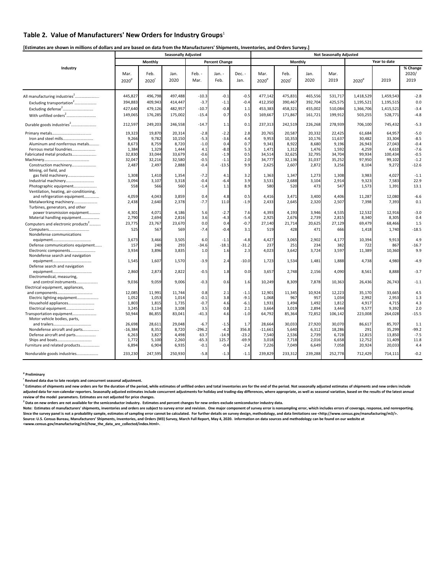## **Table 2. Value of Manufacturers' New Orders for Industry Groups**<sup>1</sup>

**[Estimates are shown in millions of dollars and are based on data from the Manufacturers' Shipments, Inventories, and Orders Survey.]** 

|                                                                   |                           |                             | <b>Seasonally Adjusted</b> |                   |                       |                   | <b>Not Seasonally Adjusted</b> |                |                |                |                   |                  |                           |  |
|-------------------------------------------------------------------|---------------------------|-----------------------------|----------------------------|-------------------|-----------------------|-------------------|--------------------------------|----------------|----------------|----------------|-------------------|------------------|---------------------------|--|
|                                                                   |                           | Monthly                     |                            |                   | <b>Percent Change</b> |                   |                                | Monthly        |                |                |                   | Year to date     |                           |  |
| Industry                                                          | Mar.<br>2020 <sup>p</sup> | Feb.<br>$2020$ <sup>r</sup> | Jan.<br>2020               | Feb. -<br>Mar.    | Jan. -<br>Feb.        | Dec. -<br>Jan.    | Mar.<br>2020 <sup>p</sup>      | Feb.<br>2020   | Jan.<br>2020   | Mar.<br>2019   | 2020 <sup>p</sup> | 2019             | % Change<br>2020/<br>2019 |  |
| All manufacturing industries <sup>2</sup>                         | 445,827                   | 496,798                     | 497,488                    | $-10.3$           | $-0.1$                | $-0.5$            | 477,142                        | 475,831        | 465,556        | 531,717        | 1,418,529         | 1,459,543        | $-2.8$                    |  |
| Excluding transportation <sup>2</sup>                             | 394,883                   | 409,943                     | 414,447                    | $-3.7$            | $-1.1$                | $-0.4$            | 412,350                        | 390,467        | 392,704        | 425,575        | 1,195,521         | 1,195,515        | 0.0                       |  |
| Excluding defense <sup>2</sup>                                    | 427,640                   | 479,126                     | 482,957                    | $-10.7$           | $-0.8$                | 1.1               | 453,383                        | 458,321        | 455,002        | 510,084        | 1,366,706         | 1,415,521        | $-3.4$                    |  |
| With unfilled orders <sup>2</sup>                                 | 149,065                   | 176,285                     | 175,002                    | $-15.4$           | 0.7                   | 0.5               | 169,667                        | 171,867        | 161,721        | 199,912        | 503,255           | 528,771          | $-4.8$                    |  |
| Durable goods industries <sup>2</sup>                             | 212,597                   | 249,203                     | 246,558                    | $-14.7$           | 1.1                   | 0.1               | 237,313                        | 242,519        | 226,268        | 278,939        | 706,100           | 745,432          | $-5.3$                    |  |
|                                                                   | 19,323                    | 19,870                      | 20,314                     | $-2.8$            | $-2.2$                | 2.8               | 20,765                         | 20,587         | 20,332         | 22,425         | 61,684            | 64,957           | $-5.0$                    |  |
| Iron and steel mills                                              | 9,266                     | 9,782                       | 10,150                     | $-5.3$            | $-3.6$                | 4.4               | 9,953                          | 10,353         | 10,176         | 11,637         | 30,482            | 33,304           | $-8.5$                    |  |
| Aluminum and nonferrous metals                                    | 8,673                     | 8,759                       | 8,720                      | $-1.0$            | 0.4                   | 0.7               | 9,341                          | 8,922          | 8,680          | 9,196          | 26,943            | 27,043           | $-0.4$                    |  |
| Ferrous metal foundries                                           | 1,384                     | 1,329                       | 1,444                      | 4.1               | $-8.0$                | 5.3               | 1,471                          | 1,312          | 1,476          | 1,592          | 4,259             | 4,610            | $-7.6$                    |  |
| Fabricated metal products                                         | 32,830                    | 33,044                      | 33,679                     | $-0.6$            | $-1.9$                | 0.5               | 34,514                         | 32,625         | 32,795         | 34,704         | 99,934            | 100,434          | $-0.5$                    |  |
|                                                                   | 32,047                    | 32,216                      | 32,580                     | $-0.5$            | $-1.1$                | 2.0               | 34,777                         | 32,136         | 31,037         | 35,252         | 97,950            | 99,102           | $-1.2$                    |  |
| Construction machinery<br>Mining, oil field, and                  | 2,487                     | 2,497                       | 2,888                      | $-0.4$            | $-13.5$               | 9.9               | 2,625                          | 2,607          | 2,872          | 3,256          | 8,104             | 9,272            | $-12.6$                   |  |
| gas field machinery                                               | 1,308                     | 1,410                       | 1,354                      | $-7.2$            | 4.1                   | 3.2               | 1,363                          | 1,347          | 1,273          | 1,308          | 3,983             | 4,027            | $-1.1$                    |  |
| Industrial machinery                                              | 3,094                     | 3,107                       | 3,318                      | $-0.4$            | $-6.4$                | 3.9               | 3,531                          | 2,688          | 3,104          | 2,914          | 9,323             | 7,583            | 22.9                      |  |
| Photographic equipment<br>Ventilation, heating, air-conditioning, | 558                       | 566                         | 560                        | $-1.4$            | 1.1                   | 8.9               | 580                            | 520            | 473            | 547            | 1,573             | 1,391            | 13.1                      |  |
| and refrigeration equipment                                       | 4,059                     | 4,043                       | 3,859                      | 0.4               | 4.8                   | 0.5               | 4,416                          | 3,471          | 3,400          | 4,406          | 11,287            | 12,080           | $-6.6$                    |  |
| Metalworking machinery<br>Turbines, generators, and other         | 2,438                     | 2,640                       | 2,378                      | $-7.7$            | 11.0                  | $-1.9$            | 2,433                          | 2,645          | 2,320          | 2,507          | 7,398             | 7,393            | 0.1                       |  |
| power transmission equipment                                      | 4,301                     | 4,071                       | 4,186                      | 5.6               | $-2.7$                | 7.6               | 4,393                          | 4,193          | 3,946          | 4,535          | 12,532            | 12,916           | $-3.0$                    |  |
| Material handling equipment                                       | 2,790                     | 2,694                       | 2,816                      | 3.6               | $-4.3$                | $-5.4$            | 2,925                          | 2,676          | 2,739          | 2,815          | 8,340             | 8,305            | 0.4                       |  |
| Computers and electronic products <sup>2</sup>                    | 23,775                    | 23,767                      | 23,670                     | 0.0               | 0.4                   | $-0.7$            | 27,140                         | 21,714         | 20,625         | 27,129         | 69,479            | 68,466           | 1.5                       |  |
| Nondefense communications                                         | 525                       | 567                         | 569                        | $-7.4$            | $-0.4$                | 3.1               | 519                            | 428            | 471            | 666            | 1,418             | 1,740            | $-18.5$                   |  |
|                                                                   | 3,673                     | 3,466                       | 3,505                      | 6.0               | $-1.1$                | $-4.8$            | 4,427                          | 3,065          | 2,902          | 4,177          | 10,394            | 9,913            | 4.9                       |  |
| Defense communications equipment                                  | 157                       | 240                         | 293                        | $-34.6$           | $-18.1$               | $-31.2$           | 237                            | 251            | 234            | 382            | 722               | 867              | $-16.7$                   |  |
| Electronic components<br>Nondefense search and navigation         | 3,934                     | 3.896                       | 3,835                      | 1.0               | 1.6                   | 2.3               | 4,023                          | 3,642          | 3,724          | 3,597          | 11,389            | 10,360           | 9.9                       |  |
| Defense search and navigation                                     | 1,545                     | 1,607                       | 1,570                      | $-3.9$            | 2.4                   | $-10.0$           | 1,723                          | 1,534          | 1,481          | 1,888          | 4,738             | 4,980            | $-4.9$                    |  |
| Electromedical, measuring,                                        | 2,860                     | 2,873                       | 2,822                      | $-0.5$            | 1.8                   | 0.0               | 3,657                          | 2,748          | 2,156          | 4,090          | 8,561             | 8,888            | $-3.7$                    |  |
| and control instruments                                           | 9,036                     | 9,059                       | 9,006                      | $-0.3$            | 0.6                   | 1.6               | 10,249                         | 8,309          | 7,878          | 10,363         | 26,436            | 26,743           | $-1.1$                    |  |
| Electrical equipment, appliances,                                 | 12,085                    | 11,991                      | 11,744                     | 0.8               | 2.1                   | $-1.1$            | 12,901                         | 11,345         | 10,924         | 12,223         | 35,170            | 33,665           | 4.5                       |  |
| Electric lighting equipment                                       | 1,052                     | 1,053                       | 1,014                      | $-0.1$            | 3.8                   | $-9.1$            | 1,068                          | 967            | 957            | 1,034          | 2,992             | 2,953            | 1.3                       |  |
|                                                                   | 1,803                     | 1,815                       | 1,735                      | $-0.7$            | 4.6                   | $-6.1$            | 1,931                          | 1,494          | 1,492          | 1,812          | 4,917             | 4,715            | 4.3                       |  |
| Electrical equipment                                              | 3,245                     | 3,134                       | 3,108                      | 3.5               | 0.8                   | 2.1               | 3,664                          | 3,019          | 2,894          | 3,444          | 9,577             | 9,392            | 2.0                       |  |
| Transportation equipment                                          | 50,944                    | 86,855                      | 83,041                     | $-41.3$           | 4.6                   | $-1.0$            | 64,792                         | 85,364         | 72,852         | 106,142        | 223,008           | 264,028          | $-15.5$                   |  |
| Motor vehicle bodies, parts,                                      |                           |                             |                            |                   |                       |                   |                                |                |                |                |                   |                  |                           |  |
|                                                                   | 26,698                    | 28,611                      | 29,048                     | $-6.7$            | $-1.5$                | 1.7               | 28,664                         | 30,033         | 27,920         | 30.070         | 86,617            | 85,707           | 1.1                       |  |
| Nondefense aircraft and parts                                     | $-16,384$                 | 8,351                       | 8,720                      | $-296.2$          | $-4.2$                | 356.8             | $-11,661$                      | 5,640          | 6,312          | 18,286         | 291               | 35,299           | $-99.2$                   |  |
| Defense aircraft and parts                                        | 6,263                     | 3,827                       | 4,498                      | 63.7              | $-14.9$               | $-23.2$           | 7,540                          | 2,536          | 2,739          | 6,728          | 12,815            | 13,850           | $-7.5$                    |  |
| Ships and boats<br>Furniture and related products                 | 1,772<br>6,894            | 5,100<br>6,904              | 2,260<br>6,935             | $-65.3$<br>$-0.1$ | 125.7<br>$-0.4$       | $-69.9$<br>$-2.4$ | 3,018<br>7,226                 | 7,718<br>7,049 | 2,016<br>6,649 | 6,658<br>7,058 | 12,752<br>20,924  | 11,409<br>20,033 | 11.8<br>4.4               |  |
|                                                                   |                           |                             |                            |                   |                       |                   |                                |                |                |                |                   |                  |                           |  |
| Nondurable goods industries                                       | 233,230                   | 247,595                     | 250,930                    | $-5.8$            | $-1.3$                | $-1.1$            | 239,829                        | 233,312        | 239,288        | 252,778        | 712,429           | 714,111          | $-0.2$                    |  |

**p Preliminary** 

**r Revised data due to late receipts and concurrent seasonal adjustment.** 

<sup>1</sup> Estimates of shipments and new orders are for the duration of the period, while estimates of unfilled orders and total inventories are for the end of the period. Not seasonally adjusted estimates of shipments and new o adjusted data for non-calendar reporters. Seasonally adjusted estimates include concurrent adjustments for holiday and trading-day differences, where appropriate, as well as seasonal variation, based on the results of the **review of the model parameters. Estimates are not adjusted for price changes.** 

**2 Data on new orders are not available for the semiconductor industry. Estimates and percent changes for new orders exclude semiconductor industry data.** 

Note: Estimates of manufacturers' shipments, inventories and orders are subject to survey error and revision. One major component of survey error is nonsampling error, which includes errors of coverage, response, and nonre Since the survey panel is not a probability sample, estimates of sampling error cannot be calculated. For further details on survey design, methodology, and data limitations see <http://www.census.gov/manufacturing/m3/>. Source: U.S. Census Bureau, Manufacturers' Shipments, Inventories, and Orders (M3) Survey, March Full Report, May 4, 2020. Information on data sources and methodology can be found on our website at<br><www.census.gov/manufact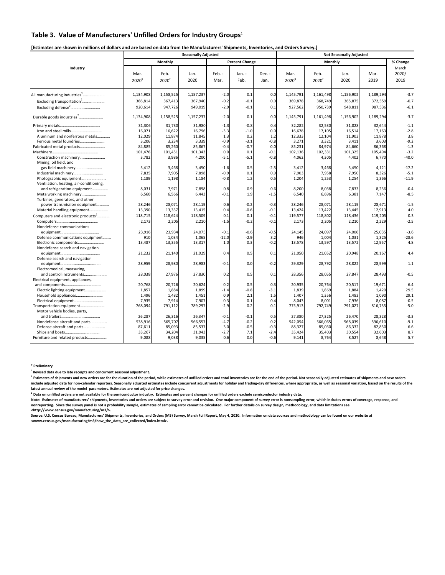## **Table 3. Value of Manufacturers' Unfilled Orders for Industry Groups**<sup>1</sup>

## **[Estimates are shown in millions of dollars and are based on data from the Manufacturers' Shipments, Inventories, and Orders Survey.]**

|                                                  |                           |                           | <b>Seasonally Adjusted</b> |                |                       |                |                           |                           |              |              |                        |
|--------------------------------------------------|---------------------------|---------------------------|----------------------------|----------------|-----------------------|----------------|---------------------------|---------------------------|--------------|--------------|------------------------|
|                                                  |                           | Monthly                   |                            |                | <b>Percent Change</b> |                |                           |                           | Monthly      |              | % Change               |
| Industry                                         | Mar.<br>2020 <sup>p</sup> | Feb.<br>2020 <sup>r</sup> | Jan.<br>2020               | Feb. -<br>Mar. | Jan. -<br>Feb.        | Dec. -<br>Jan. | Mar.<br>2020 <sup>p</sup> | Feb.<br>2020 <sup>r</sup> | Jan.<br>2020 | Mar.<br>2019 | March<br>2020/<br>2019 |
| All manufacturing industries <sup>2</sup>        | 1,134,908                 | 1,158,525                 | 1,157,237                  | $-2.0$         | 0.1                   | 0.0            | 1,145,791                 | 1,161,498                 | 1,156,902    | 1,189,294    | $-3.7$                 |
| Excluding transportation <sup>2</sup>            | 366,814                   | 367,413                   | 367,940                    | $-0.2$         | $-0.1$                | 0.0            | 369,878                   | 368,749                   | 365,875      | 372,559      | $-0.7$                 |
| Excluding defense <sup>2</sup>                   | 920,614                   | 947,726                   | 949,019                    | $-2.9$         | $-0.1$                | 0.1            | 927,562                   | 950,739                   | 948,811      | 987,536      | $-6.1$                 |
| Durable goods industries <sup>2</sup>            | 1,134,908                 | 1,158,525                 | 1,157,237                  | $-2.0$         | 0.1                   | 0.0            | 1,145,791                 | 1,161,498                 | 1,156,902    | 1,189,294    | $-3.7$                 |
|                                                  | 31,306                    | 31,730                    | 31,980                     | $-1.3$         | $-0.8$                | 0.4            | 32,282                    | 32,530                    | 31,828       | 32,644       | $-1.1$                 |
|                                                  | 16.071                    | 16,622                    | 16,796                     | $-3.3$         | $-1.0$                | 0.0            | 16,678                    | 17,105                    | 16,514       | 17,163       | $-2.8$                 |
| Aluminum and nonferrous metals                   | 12,029                    | 11,874                    | 11,845                     | 1.3            | 0.2                   | 1.2            | 12,333                    | 12,104                    | 11,903       | 11,878       | 3.8                    |
| Ferrous metal foundries                          | 3,206                     | 3,234                     | 3,339                      | $-0.9$         | $-3.1$                | $-0.8$         | 3,271                     | 3,321                     | 3,411        | 3,603        | $-9.2$                 |
| Fabricated metal products                        | 84,885                    | 85,260                    | 85,867                     | $-0.4$         | $-0.7$                | 0.0            | 85,231                    | 84,974                    | 84,660       | 86,368       | $-1.3$                 |
|                                                  | 101,476                   | 101,451                   | 101,343                    | 0.0            | 0.1                   | $-0.1$         | 102,136                   | 102,331                   | 101,325      | 105,494      | $-3.2$                 |
| Construction machinery<br>Mining, oil field, and | 3,782                     | 3,986                     | 4,200                      | $-5.1$         | $-5.1$                | $-0.8$         | 4,062                     | 4,305                     | 4,402        | 6,770        | $-40.0$                |
| gas field machinery                              | 3,412                     | 3.468                     | 3,450                      | $-1.6$         | 0.5                   | $-2.5$         | 3,412                     | 3,468                     | 3.450        | 4,121        | $-17.2$                |
| Industrial machinery                             | 7.835                     | 7,905                     | 7,898                      | $-0.9$         | 0.1                   | 0.9            | 7.903                     | 7,958                     | 7.950        | 8,326        | $-5.1$                 |
| Photographic equipment                           | 1,189                     | 1,198                     | 1,184                      | $-0.8$         | 1.2                   | 0.5            | 1,204                     | 1,253                     | 1,254        | 1,366        | $-11.9$                |
| Ventilation, heating, air-conditioning,          |                           |                           |                            |                |                       |                |                           |                           |              |              |                        |
| and refrigeration equipment                      | 8,031                     | 7,971                     | 7,898                      | 0.8            | 0.9                   | 0.6            | 8,200                     | 8,038                     | 7,833        | 8,236        | $-0.4$                 |
| Metalworking machinery                           | 6,560                     | 6,566                     | 6,443                      | $-0.1$         | 1.9                   | $-1.5$         | 6,540                     | 6,696                     | 6,381        | 7,147        | $-8.5$                 |
| Turbines, generators, and other                  |                           |                           |                            |                |                       |                |                           |                           |              |              |                        |
| power transmission equipment                     | 28,246                    | 28,071                    | 28,119                     | 0.6            | $-0.2$                | $-0.3$         | 28,246                    | 28,071                    | 28,119       | 28,671       | $-1.5$                 |
| Material handling equipment                      | 13,390                    | 13,337                    | 13,415                     | 0.4            | $-0.6$                | $-0.1$         | 13,424                    | 13,422                    | 13,445       | 12,913       | 4.0                    |
| Computers and electronic products <sup>2</sup>   | 118,715                   | 118,624                   | 118,509                    | 0.1            | 0.1                   | $-0.1$         | 119,577                   | 118,802                   | 118,436      | 119,205      | 0.3                    |
|                                                  | 2,173                     | 2,205                     | 2,210                      | $-1.5$         | $-0.2$                | $-0.1$         | 2,173                     | 2,205                     | 2,210        | 2,229        | $-2.5$                 |
| Nondefense communications                        |                           |                           |                            |                |                       |                |                           |                           |              |              |                        |
|                                                  | 23,916                    | 23,934                    | 24,075                     | $-0.1$         | $-0.6$                | $-0.5$         | 24,145                    | 24,097                    | 24,006       | 25,035       | $-3.6$                 |
| Defense communications equipment                 | 910                       | 1,034                     | 1,065                      | $-12.0$        | $-2.9$                | 3.2            | 946                       | 1,004                     | 1,031        | 1,325        | $-28.6$                |
|                                                  | 13.487                    | 13,355                    | 13,317                     | 1.0            | 0.3                   | $-0.2$         | 13,578                    | 13,597                    | 13,572       | 12,957       | 4.8                    |
| Nondefense search and navigation                 |                           |                           |                            |                |                       |                |                           |                           |              |              |                        |
|                                                  | 21,232                    | 21,140                    | 21,029                     | 0.4            | 0.5                   | 0.1            | 21,050                    | 21,052                    | 20,948       | 20,167       | 4.4                    |
| Defense search and navigation                    |                           |                           |                            |                |                       |                |                           |                           |              |              |                        |
|                                                  | 28,959                    | 28,980                    | 28,983                     | $-0.1$         | 0.0                   | $-0.2$         | 29,329                    | 28,792                    | 28,822       | 28,999       | 1.1                    |
| Electromedical, measuring,                       |                           |                           |                            |                |                       |                |                           |                           |              |              |                        |
| and control instruments                          | 28,038                    | 27,976                    | 27,830                     | 0.2            | 0.5                   | 0.1            | 28,356                    | 28,055                    | 27,847       | 28,493       | $-0.5$                 |
| Electrical equipment, appliances,                |                           |                           |                            |                |                       |                |                           |                           |              |              |                        |
|                                                  | 20,768                    | 20,726                    | 20,624                     | 0.2            | 0.5                   | 0.3            | 20,935                    | 20,764                    | 20,517       | 19,671       | 6.4                    |
| Electric lighting equipment                      | 1.857                     | 1.884                     | 1,899                      | $-1.4$         | $-0.8$                | $-3.1$         | 1,839                     | 1,869                     | 1.884        | 1,420        | 29.5                   |
| Household appliances                             | 1,496                     | 1,482                     | 1,451                      | 0.9            | 2.1                   | 1.5            | 1,407                     | 1,356                     | 1,483        | 1,090        | 29.1                   |
|                                                  | 7,935                     | 7,914                     | 7,907                      | 0.3            | 0.1                   | 0.4            | 8,043                     | 8,001                     | 7,936        | 8,087        | $-0.5$                 |
| Transportation equipment                         | 768,094                   | 791,112                   | 789,297                    | $-2.9$         | 0.2                   | 0.1            | 775,913                   | 792,749                   | 791,027      | 816,735      | $-5.0$                 |
| Motor vehicle bodies, parts,                     |                           |                           |                            |                |                       |                |                           |                           |              |              |                        |
|                                                  | 26,287                    | 26,316                    | 26,347                     | $-0.1$         | $-0.1$                | 0.5            | 27,380                    | 27,325                    | 26,470       | 28,328       | $-3.3$                 |
| Nondefense aircraft and parts                    | 538,916                   | 565,707                   | 566,557                    | $-4.7$         | $-0.2$                | 0.2            | 542,054                   | 566,065                   | 568,039      | 596,610      | $-9.1$                 |
| Defense aircraft and parts                       | 87,611                    | 85,093                    | 85,537                     | 3.0            | $-0.5$                | $-0.3$         | 88,327                    | 85,030                    | 86,332       | 82,830       | 6.6                    |
| Ships and boats                                  | 33,267                    | 34,204                    | 31,943                     | $-2.7$         | 7.1                   | $-2.4$         | 35,424                    | 35,403                    | 30,554       | 32,603       | 8.7                    |
| Furniture and related products                   | 9.088                     | 9.038                     | 9,035                      | 0.6            | 0.0                   | $-0.6$         | 9,141                     | 8,764                     | 8,527        | 8,648        | 5.7                    |
|                                                  |                           |                           |                            |                |                       |                |                           |                           |              |              |                        |

**p Preliminary** 

**r Revised data due to late receipts and concurrent seasonal adjustment.** 

<sup>1</sup> Estimates of shipments and new orders are for the duration of the period, while estimates of unfilled orders and total inventories are for the end of the period. Not seasonally adjusted estimates of shipments and new o include adjusted data for non-calendar reporters. Seasonally adjusted estimates include concurrent adjustments for holiday and trading-day differences, where appropriate, as well as seasonal variation, based on the results **latest annual review of the model parameters. Estimates are not adjusted for price changes.** 

**2 Data on unfilled orders are not available for the semiconductor industry. Estimates and percent changes for unfilled orders exclude semiconductor industry data.** 

Note: Estimates of manufacturers' shipments, inventories and orders are subject to survey error and revision. One major component of survey error is nonsampling error, which includes errors of coverage, response, and<br>nonre

**<http://www.census.gov/manufacturing/m3/>.** 

**Source: U.S. Census Bureau, Manufacturers' Shipments, Inventories, and Orders (M3) Survey, March Full Report, May 4, 2020. Information on data sources and methodology can be found on our website at <www.census.gov/manufacturing/m3/how\_the\_data\_are\_collected/index.html>.**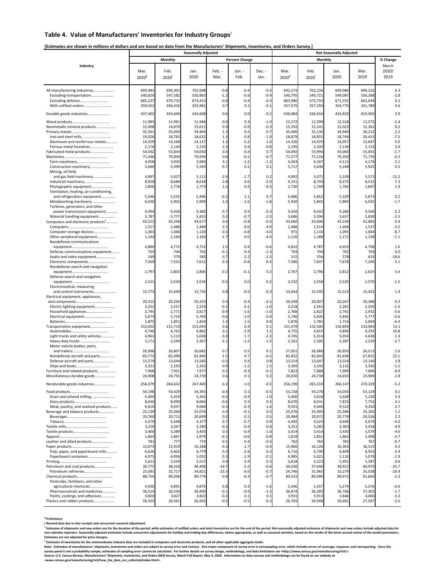## **Table 4. Value of Manufacturers' Inventories for Industry Groups**<sup>1</sup>

## **[Estimates are shown in millions of dollars and are based on data from the Manufacturers' Shipments, Inventories, and Orders Survey.]**

|                                                                        |                    |                    | <b>Seasonally Adjusted</b> |                  |                       |                  |                    |                    |                    |                    |                  |
|------------------------------------------------------------------------|--------------------|--------------------|----------------------------|------------------|-----------------------|------------------|--------------------|--------------------|--------------------|--------------------|------------------|
|                                                                        |                    | Monthly            |                            |                  | <b>Percent Change</b> |                  |                    | Monthly            |                    |                    | % Change         |
| Industry                                                               |                    |                    |                            |                  |                       |                  |                    |                    |                    |                    | March            |
|                                                                        | Mar.               | Feb.               | Jan.                       | Feb. -           | Jan. -                | Dec. -           | Mar.               | Feb.               | Jan.               | Mar.               | 2020/            |
|                                                                        | 2020 <sup>p</sup>  | 2020               | 2020                       | Mar.             | Feb.                  | Jan.             | 2020 <sup>p</sup>  | 2020               | 2020               | 2019               | 2019             |
|                                                                        |                    |                    |                            |                  |                       |                  |                    |                    |                    |                    |                  |
| All manufacturing industries                                           | 693,481            | 699,301            | 702,008                    | $-0.8$           | $-0.4$                | $-0.3$           | 692,274            | 702,226            | 699,980            | 690,232            | 0.3<br>$-2.8$    |
| Excluding transportation<br>Excluding defense                          | 540,829<br>665,227 | 547,582<br>670,732 | 550,963<br>673,415         | $-1.2$<br>$-0.8$ | $-0.6$<br>$-0.4$      | $-0.4$<br>$-0.3$ | 540,795<br>663,980 | 549,721<br>673,733 | 549,087<br>671,555 | 556,268<br>662,634 | 0.2              |
| With unfilled orders                                                   | 359,022            | 356,416            | 355,981                    | 0.7              | 0.1                   | $-0.1$           | 357,575            | 357,293            | 354,770            | 341,789            | 4.6              |
|                                                                        |                    |                    |                            |                  |                       |                  |                    |                    |                    |                    |                  |
| Durable goods industries                                               | 437,402            | 434,649            | 434,608                    | 0.6              | 0.0                   | $-0.2$           | 436,084            | 436,916            | 433,833            | 419,903            | 3.9              |
|                                                                        | 11,983             | 11,981             | 11,948                     | 0.0              | 0.3                   | $-1.0$           | 12,272             | 12,399             | 12,318             | 12,572             | $-2.4$           |
| Nonmetallic mineral products                                           | 15,008             | 14,879             | 15,011                     | 0.9              | $-0.9$                | $-0.3$           | 15,292             | 15,141             | 15,022             | 15,261             | 0.2              |
| Iron and steel mills                                                   | 35,561<br>19,026   | 35,093<br>18,782   | 34,904<br>18,632           | 1.3<br>1.3       | 0.5<br>0.8            | $-0.7$<br>$-1.9$ | 35,400<br>18,879   | 35,130<br>18,855   | 34,940<br>18,749   | 36,212<br>20,413   | $-2.2$<br>$-7.5$ |
| Aluminum and nonferrous metals                                         | 14,359             | 14,168             | 14,137                     | 1.3              | 0.2                   | 1.0              | 14,326             | 14,070             | 14,057             | 13,647             | 5.0              |
| Ferrous metal foundries                                                | 2,176              | 2,143              | 2,135                      | 1.5              | 0.4                   | $-0.8$           | 2,195              | 2,205              | 2,134              | 2,152              | 2.0              |
| Fabricated metal products                                              | 54,042             | 53,834             | 54,050                     | 0.4              | $-0.4$                | 0.7              | 54,092             | 53,994             | 54,060             | 55,001             | $-1.7$           |
|                                                                        | 71,446<br>4,058    | 70,849<br>3,935    | 70,934<br>3,983            | 0.8<br>3.1       | $-0.1$                | $-0.7$<br>$-1.3$ | 71,577             | 71,116<br>4,187    | 70,350             | 71,735<br>4,176    | $-0.2$<br>2.1    |
| Construction machinery                                                 | 5,640              | 5,599              | 5,593                      | 0.7              | $-1.2$<br>0.1         | 0.1              | 4,263<br>5,717     | 5,636              | 4,112<br>5,548     | 5,925              | $-3.5$           |
| Mining, oil field,                                                     |                    |                    |                            |                  |                       |                  |                    |                    |                    |                    |                  |
| and gas field machinery                                                | 4,897              | 5,027              | 5,112                      | $-2.6$           | $-1.7$                | 0.2              | 4,892              | 5,071              | 5,109              | 5,572              | $-12.2$          |
| Industrial machinery                                                   | 8,928              | 8,686              | 8,638                      | 2.8              | 0.6                   | $-2.0$           | 9,151              | 8,703              | 8,375              | 8,532              | 7.3              |
| Photographic equipment                                                 | 1,800              | 1,778              | 1,773                      | 1.2              | 0.3                   | $-0.3$           | 1,730              | 1,799              | 1,783              | 1,697              | 1.9              |
| Ventilation, heating, air-conditioning,<br>and refrigeration equipment | 5,546              | 5,555              | 5,496                      | $-0.2$           | 1.1                   | 0.7              | 5,686              | 5,652              | 5,329              | 5,673              | 0.2              |
| Metalworking machinery                                                 | 6,030              | 5,902              | 5,999                      | 2.2              | $-1.6$                | $-1.8$           | 5,930              | 5,843              | 5,894              | 6,032              | $-1.7$           |
| Turbines, generators, and other                                        |                    |                    |                            |                  |                       |                  |                    |                    |                    |                    |                  |
| power transmission equipment                                           | 9,494              | 9,426              | 9,382                      | 0.7              | 0.5                   | $-0.3$           | 9,350              | 9,432              | 9,280              | 9,560              | $-2.2$           |
| Material handling equipment                                            | 5,787              | 5,777              | 5,815                      | 0.2              | $-0.7$                | $-2.5$           | 5,686              | 5,594              | 5,657              | 5,830              | $-2.5$           |
| Computers and electronic products <sup>2</sup>                         | 43,522<br>1,517    | 43,338<br>1,480    | 43,677<br>1,489            | 0.4<br>2.5       | $-0.8$<br>$-0.6$      | $-0.5$<br>$-4.9$ | 43,060<br>1,488    | 43,606<br>1,514    | 43,334<br>1,468    | 42,885<br>1,537    | 0.4<br>$-3.2$    |
| Computer storage devices                                               | 1,063              | 1,066              | 1,120                      | -0.3             | $-4.8$                | $-4.0$           | 971                | 1,116              | 1,093              | 1,064              | $-8.7$           |
| Other peripheral equipment                                             | 1,144              | 1,164              | 1,164                      | $-1.7$           | 0.0                   | $-4.0$           | 1,116              | 1,188              | 1,171              | 1,128              | $-1.1$           |
| Nondefense communications                                              |                    |                    |                            |                  |                       |                  |                    |                    |                    |                    |                  |
|                                                                        | 4,889              | 4,772              | 4,752                      | 2.5              | 0.4                   | $-0.6$           | 4,832              | 4,787              | 4,653              | 4,758              | 1.6              |
| Defense communications equipment<br>Audio and video equipment          | 703<br>549         | 704<br>570         | 702<br>583                 | $-0.1$<br>$-3.7$ | 0.3<br>$-2.2$         | $-1.3$<br>$-1.5$ | 703<br>515         | 704<br>556         | 702<br>578         | 703<br>633         | 0.0<br>$-18.6$   |
| Electronic components                                                  | 7,569              | 7,552              | 7,612                      | 0.2              | $-0.8$                | 0.3              | 7,580              | 7,637              | 7,678              | 7,209              | 5.1              |
| Nondefense search and navigation                                       |                    |                    |                            |                  |                       |                  |                    |                    |                    |                    |                  |
|                                                                        | 2,797              | 2,803              | 2,806                      | $-0.2$           | $-0.1$                | 0.2              | 2,767              | 2,796              | 2,812              | 2,625              | 5.4              |
| Defense search and navigation                                          |                    |                    |                            |                  |                       |                  |                    |                    |                    |                    |                  |
| Electromedical, measuring                                              | 2,521              | 2,534              | 2,534                      | $-0.5$           | 0.0                   | 0.2              | 2,532              | 2,558              | 2,520              | 2,570              | $-1.5$           |
| and control instruments                                                | 15,773             | 15,649             | 15,735                     | 0.8              | $-0.5$                | $-0.3$           | 15,644             | 15,595             | 15,513             | 15,422             | 1.4              |
| Electrical equipment, appliances,                                      |                    |                    |                            |                  |                       |                  |                    |                    |                    |                    |                  |
|                                                                        | 20,312             | 20,250             | 20,323                     | 0.3              | $-0.4$                | $-0.1$           | 20,439             | 20,407             | 20,267             | 20,388             | 0.3              |
| Electric lighting equipment                                            | 2,252              | 2,257              | 2,254                      | $-0.2$           | 0.1                   | $-1.6$           | 2,218              | 2,261              | 2,281              | 2,250              | $-1.4$           |
| Household appliances<br>Electrical equipment                           | 2,74<br>5,673      | 2,771<br>5,710     | 2,817<br>5,769             | $-0.9$<br>$-0.6$ | $-1.6$<br>$-1.0$      | $-1.0$<br>$-0.4$ | 2,768<br>5,740     | 2,822<br>5,835     | 2,761<br>5,845     | 2,932<br>5,777     | $-5.6$<br>$-0.6$ |
|                                                                        | 1,875              | 1,851              | 1,824                      | 1.3              | 1.5                   | 0.9              | 1,876              | 1,781              | 1,714              | 2,004              | $-6.4$           |
| Transportation equipment                                               | 152,652            | 151,719            | 151,045                    | 0.6              | 0.4                   | 0.1              | 151,479            | 152,505            | 150,893            | 133,964            | 13.1             |
|                                                                        | 4,746              | 4,742              | 4,882                      | 0.1              | $-2.9$                | 1.5              | 4,755              | 4,815              | 4,890              | 4,292              | 10.8             |
| Light trucks and utility vehicles                                      | 4,961              | 5,113              | 5,028                      | $-3.0$           | 1.7                   | $-2.3$           | 4,745              | 5,314              | 5,054              | 4,638              | 2.3              |
| Heavy duty trucks<br>Motor vehicle bodies, parts,                      | 2,171              | 2,240              | 2,267                      | $-3.1$           | $-1.2$                | 1.5              | 2,161              | 2,305              | 2,287              | 2,220              | $-2.7$           |
|                                                                        | 26,998             | 26,807             | 26,682                     | 0.7              | 0.5                   | 0.1              | 27,051             | 26,988             | 26,950             | 26,513             | 2.0              |
| Nondefense aircraft and parts                                          | 83,773             | 82,499             | 81,940                     | 1.5              | 0.7                   | $-0.2$           | 82,832             | 82,843             | 81,658             | 67,815             | 22.1             |
| Defense aircraft and parts                                             | 13,579             | 13,644             | 13,585                     | $-0.5$           | 0.4                   | 0.8              | 13,514             | 13,647             | 13,554             | 13,140             | 2.8              |
|                                                                        | 3,22               | 3,193              | 3,242                      | 0.9<br>0.2       | $-1.5$                | 1.5<br>$-0.1$    | 3,304              | 3,102              | 3,132              | 3,356              | $-1.5$<br>$-0.9$ |
| Furniture and related products<br>Miscellaneous durable goods          | 7,968<br>24,908    | 7,951<br>24,755    | 7,977<br>24,739            | 0.6              | $-0.3$<br>0.1         | 0.2              | 7,823<br>24,650    | 7,888<br>24,730    | 7,999<br>24,650    | 7,896<br>23,989    | 2.8              |
|                                                                        |                    |                    |                            |                  |                       |                  |                    |                    |                    |                    |                  |
| Nondurable goods industries                                            | 256,079            | 264,652            | 267,400                    | $-3.2$           | $-1.0$                | $-0.5$           | 256,190            | 265,310            | 266,147            | 270,329            | $-5.2$           |
|                                                                        | 54,198             | 54,429             | 54,391                     | $-0.4$           | 0.1                   | $-0.5$           | 53,158             | 54,278             | 54,050             | 53,129             | 0.1              |
| Grain and oilseed milling                                              | 5,404              | 5,419              | 5,441                      | $-0.3$           | $-0.4$                | 1.0              | 5,400              | 5,618              | 5,628              | 5,230              | 3.3              |
|                                                                        | 8,040              | 8,090              | 8,064                      | -0.6<br>$-0.5$   | 0.3<br>$-0.3$         | 0.3<br>$-1.6$    | 8,070              | 8,031              | 7,835              | 7,752              | 4.1<br>2.7       |
| Meat, poultry, and seafood products<br>Beverage and tobacco products   | 9,610<br>25,139    | 9,657<br>25,060    | 9,684<br>25,076            | 0.3              | $-0.1$                | 0.5              | 9,501<br>25,476    | 9,640<br>25,495    | 9,523<br>25,386    | 9,250<br>25,205    | 1.1              |
|                                                                        | 20,760             | 20,712             | 20,699                     | 0.2              | 0.1                   | 0.5              | 20,984             | 20,972             | 20,778             | 20,526             | 2.2              |
|                                                                        | 4,379              | 4,348              | 4,377                      | 0.7              | $-0.7$                | 0.9              | 4,492              | 4,523              | 4,608              | 4,679              | $-4.0$           |
|                                                                        | 3,259              | 3,267              | 3,280                      | $-0.2$           | $-0.4$                | $-0.6$           | 3,251              | 3,282              | 3,303              | 3,418              | $-4.9$           |
|                                                                        | 3,400              | 3,389              | 3,403                      | 0.3              | $-0.4$                | $-1.0$           | 3,414              | 3,414              | 3,430              | 3,579              | $-4.6$           |
| Leather and allied products                                            | 1,863<br>781       | 1,867<br>777       | 1,879<br>774               | $-0.2$<br>0.5    | $-0.6$<br>0.4         | $-0.8$<br>$-0.3$ | 1,818<br>762       | 1,851<br>763       | 1,863<br>783       | 1,908<br>767       | $-4.7$<br>$-0.7$ |
|                                                                        | 15,873             | 15,919             | 16,188                     | $-0.3$           | $-1.7$                | $-0.4$           | 15,966             | 16,120             | 16,303             | 16,51              | $-3.3$           |
| Pulp, paper, and paperboard mills                                      | 6,620              | 6,602              | 6,779                      | 0.3              | $-2.6$                | 0.2              | 6,716              | 6,700              | 6,809              | 6,953              | $-3.4$           |
| Paperboard containers                                                  | 4,975              | 4,958              | 5,052                      | 0.3              | $-1.9$                | $-0.1$           | 4,985              | 5,021              | 5,110              | 5,079              | $-1.9$           |
| Petroleum and coal products                                            | 5,611<br>30,775    | 5,559<br>38,318    | 5,537<br>40,406            | 0.9<br>$-19.7$   | 0.4<br>$-5.2$         | 0.3<br>$-0.6$    | 5,618<br>30,430    | 5,523<br>37,646    | 5,455<br>38,921    | 5,587<br>40,970    | 0.6<br>$-25.7$   |
| Petroleum refineries                                                   | 25,091             | 32,717             | 34,821                     | $-23.3$          | $-6.0$                | $-0.7$           | 24,746             | 31,965             | 33,279             | 35,038             | $-29.4$          |
|                                                                        | 88,755             | 89,506             | 89,774                     | $-0.8$           | $-0.3$                | $-0.7$           | 89,532             | 89,990             | 89,972             | 91,664             | $-2.3$           |
| Pesticides, fertilizers, and other                                     |                    |                    |                            |                  |                       |                  |                    |                    |                    |                    |                  |
| agricultural chemicals                                                 | 4,930              | 4,891              | 4,876                      | 0.8              | 0.3                   | $-1.6$           | 5,346              | 5,337              | 5,274              | 5,376              | $-0.6$           |
| Pharmaceuticals and medicines<br>Paints, coatings, and adhesives       | 36,514<br>3,820    | 36,556<br>3,827    | 36,900<br>3,823            | $-0.1$<br>$-0.2$ | $-0.9$<br>0.1         | $-1.2$<br>0.1    | 36,674<br>3,931    | 36,385<br>3,913    | 36,766<br>3,846    | 37,302<br>4,060    | $-1.7$<br>$-3.2$ |
| Plastics and rubber products                                           | 26,425             | 26,561             | 26,692                     | $-0.5$           | $-0.5$                | $-0.3$           | 26,765             | 26,948             | 26,681             | 27,587             | $-3.0$           |

<sup>s</sup> Preliminary<br>Rewised data due to late receipts and concurrent seasonal adjustment.<br>"Estimates of shipments and new orders are for the duration of the period, while estimates of unfilled orders and total inventories are

<sup>2</sup> Estimates of inventories for the semiconductor industry data are included in computers and electronic products, and all other applicable aggregate totals.<br>Note: Estimates of manufacturers' shipments, inventories and or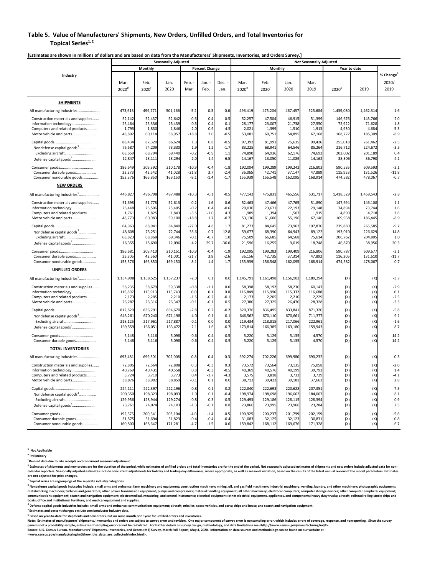## **Table 5. Value of Manufacturers' Shipments, New Orders, Unfilled Orders, and Total Inventories for**  Topical Series<sup>1, 2</sup>

|                                                                                                                            |                                          |                                          | <b>Seasonally Adjusted</b>               |                                             |                                          |                                       | <b>Not Seasonally Adjusted</b>           |                                          |                                          |                                          |                                         |                                         |                                             |  |
|----------------------------------------------------------------------------------------------------------------------------|------------------------------------------|------------------------------------------|------------------------------------------|---------------------------------------------|------------------------------------------|---------------------------------------|------------------------------------------|------------------------------------------|------------------------------------------|------------------------------------------|-----------------------------------------|-----------------------------------------|---------------------------------------------|--|
|                                                                                                                            |                                          | Monthly                                  |                                          |                                             | <b>Percent Change</b>                    |                                       |                                          | Monthly                                  |                                          |                                          | Year to date                            |                                         |                                             |  |
| Industry                                                                                                                   | Mar.<br>2020 <sup>p</sup>                | Feb.<br>2020                             | Jan.<br>2020                             | Feb.<br>Mar.                                | Jan. -<br>Feb.                           | Dec. -<br>Jan.                        | Mar.<br>2020 <sup>p</sup>                | Feb.<br>2020 <sup>r</sup>                | Jan.<br>2020                             | Mar.<br>2019                             | 2020 <sup>p</sup>                       | 2019                                    | % Change<br>2020/<br>2019                   |  |
| <b>SHIPMENTS</b>                                                                                                           |                                          |                                          |                                          |                                             |                                          |                                       |                                          |                                          |                                          |                                          |                                         |                                         |                                             |  |
| All manufacturing industries<br>.                                                                                          | 473,613                                  | 499,771                                  | 501,166                                  | $-5.2$                                      | $-0.3$                                   | $-0.6$                                | 496,419                                  | 475,204                                  | 467,457                                  | 525,684                                  | 1,439,080                               | 1,462,314                               | $-1.6$                                      |  |
| Construction materials and supplies<br>Information technology<br>Computers and related products<br>Motor vehicle and parts | 52,142<br>25,464<br>1,793<br>48,802      | 52,437<br>25,336<br>1,830<br>60,114      | 52,642<br>25,439<br>1,846<br>58,957      | $-0.6$<br>0.5<br>$-2.0$<br>$-18.8$          | $-0.4$<br>$-0.4$<br>$-0.9$<br>2.0        | 0.5<br>0.1<br>4.5<br>$-0.5$           | 52,257<br>28,177<br>2,021<br>53,081      | 47,504<br>23,007<br>1,399<br>60,751      | 46,915<br>21,738<br>1,510<br>54,895      | 51,399<br>27,550<br>1,913<br>67,168      | 146,676<br>72,922<br>4,930<br>168,727   | 143,766<br>71,628<br>4,684<br>185,309   | 2.0<br>1.8<br>5.3<br>$-8.9$                 |  |
| Nondefense capital goods <sup>3</sup><br>Excluding aircraft<br>Defense capital goods <sup>4</sup>                          | 88,434<br>75,587<br>68,659<br>12,847     | 87,320<br>74,209<br>68.794<br>13,111     | 86,624<br>73,330<br>69,440<br>13,294     | 1.3<br>1.9<br>$-0.2$<br>$-2.0$              | 0.8<br>1.2<br>$-0.9$<br>$-1.4$           | $-0.5$<br>$-1.7$<br>1.1<br>6.5        | 97,392<br>83,225<br>74,890<br>14,167     | 81,991<br>68,941<br>64,936<br>13,050     | 75,635<br>64,546<br>62,176<br>11,089     | 99,426<br>85,264<br>74,693<br>14,162     | 255,018<br>216,712<br>202,002<br>38,306 | 261,462<br>224,672<br>201,189<br>36,790 | $-2.5$<br>$-3.5$<br>0.4<br>4.1              |  |
| Consumer durable goods<br>Consumer nondurable goods                                                                        | 186,649<br>33,273<br>153,376             | 209,392<br>42,542<br>166,850             | 210,178<br>41,028<br>169,150             | $-10.9$<br>$-21.8$<br>$-8.1$                | $-0.4$<br>3.7<br>$-1.4$                  | $-1.8$<br>$-2.4$<br>$-1.7$            | 192,004<br>36,065<br>155,939             | 199,289<br>42,741<br>156,548             | 199,242<br>37,147<br>162,095             | 216,803<br>47,889<br>168,914             | 590,535<br>115,953<br>474,582           | 609,593<br>131,526<br>478,067           | $-3.1$<br>$-11.8$<br>$-0.7$                 |  |
| <b>NEW ORDERS</b>                                                                                                          |                                          |                                          |                                          |                                             |                                          |                                       |                                          |                                          |                                          |                                          |                                         |                                         |                                             |  |
| All manufacturing industries <sup>5</sup>                                                                                  | 445,827                                  | 496,798                                  | 497,488                                  | $-10.3$                                     | $-0.1$                                   | $-0.5$                                | 477,142                                  | 475,831                                  | 465,556                                  | 531,717                                  | 1,418,529                               | 1,459,543                               | $-2.8$                                      |  |
| Construction materials and supplies<br>Information technology<br>Computers and related products<br>Motor vehicle and parts | 51,698<br>25,448<br>1,761<br>48,773      | 51.778<br>25,506<br>1,825<br>60,083      | 52.613<br>25,405<br>1,843<br>59,100      | $-0.2$<br>$-0.2$<br>$-3.5$<br>$-18.8$       | $-1.6$<br>0.4<br>$-1.0$<br>1.7           | 0.6<br>$-0.6$<br>4.3<br>$-0.7$        | 52.463<br>29,030<br>1,989<br>53,136      | 47.466<br>23,671<br>1,394<br>61,606      | 47.765<br>22,193<br>1,507<br>55,196      | 51.890<br>29,148<br>1,915<br>67,146      | 147.694<br>74,894<br>4,890<br>169,938   | 146.108<br>73,744<br>4,718<br>186,445   | 1.1<br>1.6<br>3.6<br>$-8.9$                 |  |
| Nondefense capital goods <sup>3</sup><br>Excluding aircraft<br>Defense capital goods <sup>4</sup>                          | 64,963<br>48,608<br>68,823<br>16,355     | 88,941<br>73,251<br>68,868<br>15,690     | 84,840<br>72,744<br>69,346<br>12,096     | $-27.0$<br>$-33.6$<br>$-0.1$<br>4.2         | 4.8<br>0.7<br>$-0.7$<br>29.7             | 1.7<br>12.8<br>1.0<br>$-36.0$         | 81,273<br>59,677<br>75,509<br>21,596     | 84,645<br>68,390<br>66,685<br>16,255     | 73,962<br>64,943<br>64,568<br>9,019      | 107,870<br>89,122<br>75,614<br>18,748    | 239,880<br>193,010<br>206,762<br>46,870 | 265,585<br>226,629<br>204,805<br>38,956 | $-9.7$<br>$-14.8$<br>1.0<br>20.3            |  |
| Consumer durable goods<br>Consumer nondurable goods                                                                        | 186,681<br>33,305<br>153,376             | 209,410<br>42,560<br>166,850             | 210,151<br>41,001<br>169,150             | $-10.9$<br>$-21.7$<br>$-8.1$                | $-0.4$<br>3.8<br>$-1.4$                  | $-1.9$<br>$-2.6$<br>$-1.7$            | 192,095<br>36,156<br>155,939             | 199,283<br>42,735<br>156,548             | 199,409<br>37,314<br>162,095             | 216,806<br>47,892<br>168,914             | 590,787<br>116,205<br>474,582           | 609,677<br>131,610<br>478,067           | $-3.1$<br>$-11.7$<br>$-0.7$                 |  |
| <b>UNFILLED ORDERS</b>                                                                                                     |                                          |                                          |                                          |                                             |                                          |                                       |                                          |                                          |                                          |                                          |                                         |                                         |                                             |  |
| All manufacturing industries <sup>5</sup>                                                                                  | 1,134,908                                | 1,158,525                                | 1,157,237                                | $-2.0$                                      | 0.1                                      | 0.0                                   | 1,145,791                                | 1,161,498                                | 1,156,902                                | 1,189,294                                | (X)                                     | (X)                                     | $-3.7$                                      |  |
| Construction materials and supplies<br>Information technology<br>Computers and related products<br>Motor vehicle and parts | 58,235<br>115,897<br>2,173<br>26,287     | 58,679<br>115,913<br>2,205<br>26,316     | 59,338<br>115,743<br>2,210<br>26,347     | $-0.8$<br>0.0<br>$-1.5$<br>$-0.1$<br>$-2.8$ | $-1.1$<br>0.1<br>$-0.2$<br>$-0.1$<br>0.2 | 0.0<br>0.0<br>$-0.1$<br>0.5<br>$-0.2$ | 58,398<br>116,849<br>2,173<br>27,380     | 58,192<br>115,996<br>2,205<br>27,325     | 58,230<br>115,332<br>2,210<br>26,470     | 60,147<br>116,688<br>2,229<br>28,328     | (X)<br>(X)<br>(X)<br>(X)<br>(X)         | (X)<br>(X)<br>(X)<br>(X)<br>(X)         | $-2.9$<br>0.1<br>$-2.5$<br>$-3.3$<br>$-5.8$ |  |
| Nondefense capital goods <sup>3</sup><br>Excluding aircraft<br>Defense capital goods <sup>4</sup>                          | 812,820<br>643,261<br>218,125<br>169,559 | 836,291<br>670,240<br>217,961<br>166,051 | 834,670<br>671,198<br>217,887<br>163,472 | $-4.0$<br>0.1<br>2.1                        | $-0.1$<br>0.0<br>1.6                     | $-0.1$<br>0.0<br>$-0.7$               | 820,376<br>646,562<br>219,434<br>173,814 | 836,495<br>670,110<br>218,815<br>166,385 | 833,841<br>670,661<br>217,066<br>163,180 | 871,320<br>711,377<br>222,961<br>159,943 | (X)<br>(X)<br>(X)                       | (X)<br>(X)<br>(X)                       | $-9.1$<br>$-1.6$<br>8.7                     |  |
| Consumer durable goods                                                                                                     | 5.148<br>5,148                           | 5,116<br>5,116                           | 5,098<br>5,098                           | 0.6<br>0.6                                  | 0.4<br>0.4                               | $-0.5$<br>$-0.5$                      | 5,220<br>5,220                           | 5.129<br>5,129                           | 5,135<br>5,135                           | 4,570<br>4,570                           | (X)<br>(X)                              | (X)<br>(X)                              | 14.2<br>14.2                                |  |
| <b>TOTAL INVENTORIES</b>                                                                                                   |                                          |                                          |                                          |                                             |                                          |                                       |                                          |                                          |                                          |                                          |                                         |                                         |                                             |  |
| All manufacturing industries                                                                                               | 693,481                                  | 699,301                                  | 702,008                                  | $-0.8$                                      | $-0.4$                                   | $-0.3$                                | 692,274                                  | 702,226                                  | 699,980                                  | 690,232                                  | (X)                                     | (X)                                     | 0.3                                         |  |
| Construction materials and supplies<br>Information technology<br>Computers and related products<br>Motor vehicle and parts | 72.806<br>40,769<br>3,724<br>38,876      | 72.564<br>40,431<br>3,710<br>38,902      | 72.808<br>40,558<br>3,773<br>38,859      | 0.3<br>0.8<br>0.4<br>$-0.1$                 | $-0.3$<br>$-0.3$<br>$-1.7$<br>0.1        | 0.3<br>$-0.5$<br>$-4.3$<br>0.0        | 73,572<br>40,369<br>3,575<br>38,712      | 73.564<br>40,576<br>3,818<br>39,422      | 73.135<br>40,199<br>3,732<br>39,181      | 75.058<br>39,793<br>3,729<br>37,663      | (X)<br>(X)<br>(X)<br>(X)                | (X)<br>(X)<br>(X)<br>(X)                | $-2.0$<br>1.4<br>$-4.1$<br>2.8              |  |
| Nondefense capital goods <sup>3</sup><br>Excluding aircraft<br>Defense capital goods <sup>4</sup>                          | 224,111<br>200,350<br>129,956<br>23,761  | 222,397<br>198,323<br>128,944<br>24,074  | 222,196<br>198,093<br>129,274<br>24,103  | 0.8<br>1.0<br>0.8<br>$-1.3$                 | 0.1<br>0.1<br>$-0.3$<br>$-0.1$           | $-0.2$<br>$-0.4$<br>$-0.5$<br>0.8     | 222,840<br>198,974<br>129,493<br>23,866  | 222,693<br>198,698<br>129,186<br>23,995  | 220,628<br>196,662<br>128,115<br>23,966  | 207,351<br>184,067<br>128,394<br>23,284  | (X)<br>(X)<br>(X)<br>(X)                | (X)<br>(X)<br>(X)<br>(X)                | 7.5<br>8.1<br>0.9<br>2.5                    |  |
| Consumer goods<br>Consumer durable goods<br>Consumer nondurable goods                                                      | 192,375<br>31,575<br>160,800             | 200,341<br>31,694<br>168,647             | 203,104<br>31,823<br>171,281             | $-4.0$<br>$-0.4$<br>$-4.7$                  | $-1.4$<br>$-0.4$<br>$-1.5$               | $-0.5$<br>$-0.4$<br>$-0.6$            | 190,925<br>31,083<br>159,842             | 200,237<br>32,125<br>168,112             | 201,799<br>32,123<br>169,676             | 202,159<br>30,831<br>171,328             | (X)<br>$(\mathsf{X})$<br>$(\mathsf{X})$ | (X)<br>(X)<br>(X)                       | $-5.6$<br>0.8<br>$-6.7$                     |  |

**[Estimates are shown in millions of dollars and are based on data from the Manufacturers' Shipments, Inventories, and Orders Survey.]** 

**X Not Applicable** 

**p Preliminary** 

**r Revised data due to late receipts and concurrent seasonal adjustment.** 

<sup>1</sup> Estimates of shipments and new orders are for the duration of the period, while estimates of unfilled orders and total inventories are for the end of the period. Not seasonally adjusted estimates of shipments and new o calendar reporters. Seasonally adjusted estimates include concurrent adjustments for holiday and trading-day differences, where appropriate, as well as seasonal variation, based on the results of the latest annual review o **are not adjusted for price changes.** 

**2 Topical series are regroupings of the separate industry categories.** 

<sup>3</sup> Nondefense capital goods industries include: small arms and ordnance; farm machinery and equipment; construction machinery; mining, oil, and gas field machinery; industrial machinery; vending, laundry, and other machin **boats; office and institutional furniture; and medical equipment and supplies.** 

<sup>4</sup> Defense capital goods industries include: small arms and ordnance; communications equipment; aircraft; missiles, space vehicles, and parts; ships and boats; and search and navigation equipment.

**5 Estimates and percent changes exclude semiconductor industry data.** 

**6 Based on year-to-date for shipments and new orders, but on same month prior year for unfilled orders and inventories.** 

Note: Estimates of manufacturers' shipments, inventories and orders are subject to survey error and revision. One major component of survey error is nonsampling error, which includes errors of coverage, response, and nonre

Source: U.S. Census Bureau, Manufacturers' Shipments, Inventories, and Orders (M3) Survey, March Full Report, May 4, 2020. Information on data sources and methodology can be found on our website at<br><www.census.gov/manufact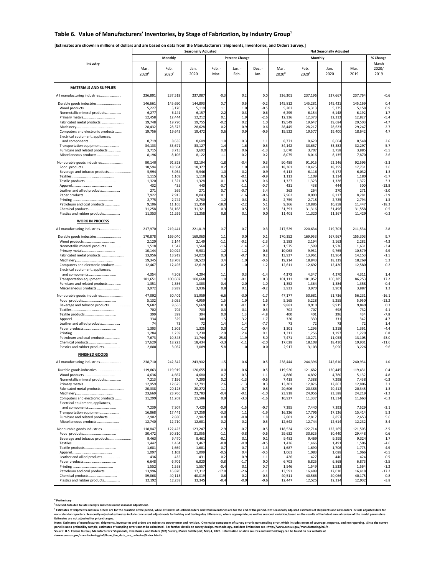## Table 6. Value of Manufacturers' Inventories, by Stage of Fabrication, by Industry Group<sup>1</sup>

## **[Estimates are shown in millions of dollars and are based on data from the Manufacturers' Shipments, Inventories, and Orders Survey.]**

|                                                                        |                   |                 | <b>Seasonally Adjusted</b> |                  |                       | <b>Not Seasonally Adjusted</b> |                   |                 |                 |                 |                    |  |
|------------------------------------------------------------------------|-------------------|-----------------|----------------------------|------------------|-----------------------|--------------------------------|-------------------|-----------------|-----------------|-----------------|--------------------|--|
|                                                                        |                   | Monthly         |                            |                  | <b>Percent Change</b> |                                |                   | Monthly         |                 |                 | % Change           |  |
| Industry                                                               |                   |                 |                            |                  |                       |                                |                   |                 |                 |                 | March              |  |
|                                                                        | Mar.              | Feb.            | Jan.<br>2020               | Feb. -<br>Mar.   | Jan. -<br>Feb.        | Dec. -<br>Jan.                 | Mar.              | Feb.            | Jan.<br>2020    | Mar.<br>2019    | 2020/<br>2019      |  |
|                                                                        | 2020 <sup>p</sup> | 2020'           |                            |                  |                       |                                | 2020 <sup>p</sup> | 2020            |                 |                 |                    |  |
|                                                                        |                   |                 |                            |                  |                       |                                |                   |                 |                 |                 |                    |  |
| <b>MATERIALS AND SUPPLIES</b>                                          |                   |                 |                            |                  |                       |                                |                   |                 |                 |                 |                    |  |
| All manufacturing industries                                           | 236,801           | 237,518         | 237,087                    | $-0.3$           | 0.2                   | 0.0                            | 236,301           | 237,196         | 237,667         | 237,764         | $-0.6$             |  |
| Durable goods industries                                               | 146,661           | 145,690         | 144,893                    | 0.7              | 0.6                   | $-0.2$                         | 145,812           | 145,281         | 145,421         | 145,169         | 0.4                |  |
| Nonmetallic mineral products                                           | 5,22<br>6,27      | 5,170<br>6,141  | 5,119<br>6,157             | 1.1<br>2.2       | 1.0<br>$-0.3$         | $-0.5$<br>0.6                  | 5,203<br>6,299    | 5,313<br>6,154  | 5,375<br>6,148  | 5,158<br>6,192  | 0.9<br>1.7         |  |
|                                                                        | 12,458            | 12,444          | 12,212                     | 0.1              | 1.9                   | $-2.6$                         | 12,136            | 12,373          | 12,312          | 12,827          | $-5.4$             |  |
| Fabricated metal products                                              | 19,748            | 19,790          | 19,755                     | $-0.2$           | 0.2                   | 1.0                            | 19,549            | 19,647          | 19,684          | 20,503          | $-4.7$             |  |
|                                                                        | 28,432            | 28,375          | 28,628                     | 0.2              | $-0.9$                | $-0.6$                         | 28,445            | 28,217          | 28,623          | 29,247          | $-2.7$<br>4.7      |  |
| Computers and electronic products<br>Electrical equipment, appliances, | 19,756            | 19,643          | 19,472                     | 0.6              | 0.9                   | $-0.9$                         | 19,522            | 19,577          | 19,400          | 18,642          |                    |  |
| and components                                                         | 8,719             | 8,635           | 8,609                      | 1.0              | 0.3                   | 1.1                            | 8,771             | 8,620           | 8,604           | 8,548           | 2.6                |  |
| Transportation equipment                                               | 34,133            | 33,671          | 33,127                     | 1.4<br>0.0       | 1.6<br>0.6            | 0.5<br>$-1.3$                  | 34,142            | 33,657          | 33,382          | 32,297          | 5.7<br>$-5.5$      |  |
| Furniture and related products<br>Miscellaneous products               | 3,715<br>8,196    | 3,715<br>8,106  | 3,692<br>8,122             | 1.1              | $-0.2$                | $-0.2$                         | 3,670<br>8,075    | 3,707<br>8,016  | 3,758<br>8,135  | 3,885<br>7,870  | 2.6                |  |
| Nondurable goods industries                                            | 90,140            | 91,828          | 92,194                     | $-1.8$           | $-0.4$                | 0.3                            | 90,489            | 91,915          | 92,246          | 92,595          | $-2.3$             |  |
|                                                                        | 18,594            | 18,564          | 18,377                     | 0.2              | 1.0                   | $-0.8$                         | 18,361            | 18,425          | 18,355          | 17,731          | 3.6                |  |
| Beverage and tobacco products                                          | 5,994             | 5,934           | 5,946                      | 1.0              | $-0.2$                | 0.9                            | 6,113             | 6,116           | 6,172           | 6,032           | 1.3                |  |
|                                                                        | 1,115<br>1,320    | 1,109<br>1,321  | 1,110<br>1,328             | 0.5<br>$-0.1$    | $-0.1$<br>$-0.5$      | $-0.9$<br>0.6                  | 1,113<br>1,327    | 1,109<br>1,323  | 1,114<br>1,328  | 1,180<br>1,372  | $-5.7$<br>$-3.3$   |  |
|                                                                        | 432               | 435             | 440                        | $-0.7$           | $-1.1$                | $-0.7$                         | 431               | 438             | 444             | 500             | $-13.8$            |  |
| Leather and allied products                                            | 271               | 269             | 271                        | 0.7              | $-0.7$                | 3.4                            | 263               | 264             | 270             | 271             | $-3.0$             |  |
|                                                                        | 7,922<br>2,775    | 7,915<br>2,742  | 8,043<br>2,750             | 0.1<br>1.2       | $-1.6$<br>$-0.3$      | $-0.6$<br>0.1                  | 7,962<br>2,759    | 8,000<br>2,718  | 8,117<br>2,725  | 8,281<br>2,794  | $-3.9$<br>$-1.3$   |  |
| Petroleum and coal products                                            | 9,106             | 11,105          | 11,350                     | $-18.0$          | $-2.2$                | 5.1                            | 9,366             | 10,886          | 10,858          | 11,447          | $-18.2$            |  |
| Chemical products                                                      | 31,258            | 31,168          | 31,321                     | 0.3              | $-0.5$                | $-0.5$                         | 31,393            | 31,316          | 31,496          | 31,558          | $-0.5$             |  |
| Plastics and rubber products                                           | 11,353            | 11,266          | 11,258                     | 0.8              | 0.1                   | 0.0                            | 11,401            | 11,320          | 11,367          | 11,429          | $-0.2$             |  |
| <b>WORK IN PROCESS</b>                                                 |                   |                 |                            |                  |                       |                                |                   |                 |                 |                 |                    |  |
| All manufacturing industries                                           | 217,970           | 219,441         | 221,019                    | $-0.7$           | $-0.7$                | $-0.3$                         | 217,529           | 220,634         | 219,703         | 211,534         | 2.8                |  |
| Durable goods industries                                               | 170,878           | 169,040         | 169,060                    | 1.1              | 0.0                   | 0.1                            | 170,352           | 169,953         | 167,967         | 155,303         | 9.7                |  |
|                                                                        | 2,120             | 2,144           | 2,149                      | $-1.1$           | $-0.2$                | $-2.3$                         | 2,183             | 2,194           | 2,163           | 2,282           | $-4.3$             |  |
| Nonmetallic mineral products                                           | 1,518<br>10,144   | 1,542<br>10,024 | 1,564<br>9,901             | $-1.6$<br>1.2    | $-1.4$<br>1.2         | $-2.3$<br>0.6                  | 1,575<br>10,063   | 1,599<br>9,931  | 1,576<br>9,765  | 1,631<br>10,579 | $-3.4$<br>$-4.9$   |  |
| Fabricated metal products                                              | 13,956            | 13,919          | 14,023                     | 0.3              | $-0.7$                | 0.2                            | 13,937            | 13,961          | 13,964          | 14,153          | $-1.5$             |  |
|                                                                        | 19,345            | 18,708          | 18,523                     | 3.4              | 1.0                   | $-0.6$                         | 19,214            | 18,843          | 18,139          | 18,269          | 5.2                |  |
| Computers and electronic products<br>Electrical equipment, appliances, | 12,467            | 12,493          | 12,619                     | $-0.2$           | $-1.0$                | 1.2                            | 12,611            | 12,692          | 12,420          | 12,580          | 0.2                |  |
| and components                                                         | 4,354             | 4,308           | 4,294                      | 1.1              | 0.3                   | $-1.4$                         | 4,373             | 4,347           | 4,270           | 4,311           | 1.4                |  |
| Transportation equipment                                               | 101,651           | 100,607         | 100,668                    | 1.0              | $-0.1$                | 0.3                            | 101,111           | 101,052         | 100,385         | 86,253          | 17.2               |  |
| Furniture and related products<br>Miscellaneous products               | 1,351<br>3,972    | 1,356<br>3,939  | 1,383<br>3,936             | $-0.4$<br>0.8    | $-2.0$<br>0.1         | $-1.0$<br>$-0.2$               | 1,352<br>3,933    | 1,364<br>3,970  | 1,384<br>3,901  | 1,358<br>3,887  | $-0.4$<br>1.2      |  |
|                                                                        |                   |                 |                            |                  |                       |                                |                   |                 |                 |                 |                    |  |
| Nondurable goods industries                                            | 47,092<br>5,132   | 50,401<br>5,055 | 51,959<br>4,959            | $-6.6$<br>1.5    | $-3.0$<br>1.9         | $-1.7$<br>1.6                  | 47,177<br>5,165   | 50,681<br>5,228 | 51,736<br>5,255 | 56,231<br>5,950 | $-16.1$<br>$-13.2$ |  |
| Beverage and tobacco products                                          | 9,682             | 9,656           | 9,669                      | 0.3              | $-0.1$                | 0.7                            | 9,881             | 9,910           | 9,915           | 9,849           | 0.3                |  |
|                                                                        | 702               | 704             | 703                        | $-0.3$           | 0.1                   | $-0.3$                         | 702               | 707             | 698             | 732             | $-4.1$             |  |
|                                                                        | 399<br>334        | 399<br>329      | 394<br>340                 | 0.0<br>1.5       | 1.3<br>$-3.2$         | $-4.8$<br>$-1.7$               | 400<br>326        | 401<br>330      | 396<br>331      | 434<br>342      | $-7.8$<br>$-4.7$   |  |
| Leather and allied products                                            | 74                | 73              | 72                         | 1.4              | 1.4                   | $-7.7$                         | 73                | 72              | 73              | 72              | 1.4                |  |
|                                                                        | 1,303<br>1,284    | 1,303<br>1,259  | 1,325<br>1,230             | 0.0<br>2.0       | $-1.7$<br>2.4         | $-0.4$<br>0.1                  | 1,301<br>1,313    | 1,295<br>1,256  | 1,318<br>1,197  | 1,361<br>1,229  | $-4.4$<br>6.8      |  |
| Petroleum and coal products                                            | 7,673             | 10,343          | 11,744                     | $-25.8$          | $-11.9$               | $-5.0$                         | 7,471             | 10,271          | 11,053          | 13,105          | $-43.0$            |  |
|                                                                        | 17,629            | 18,223          | 18,434                     | $-3.3$           | $-1.1$                | $-2.0$                         | 17,628            | 18,108          | 18,410          | 19,931          | $-11.6$            |  |
| Plastics and rubber products                                           | 2,880             | 3,057           | 3,089                      | $-5.8$           | $-1.0$                | 0.0                            | 2,917             | 3,103           | 3,090           | 3,226           | $-9.6$             |  |
| <b>FINISHED GOODS</b>                                                  |                   |                 |                            |                  |                       |                                |                   |                 |                 |                 |                    |  |
| All manufacturing industries                                           | 238,710           | 242,342         | 243,902                    | $-1.5$           | $-0.6$                | $-0.5$                         | 238,444           | 244,396         | 242,610         | 240,934         | $-1.0$             |  |
| Durable goods industries                                               | 119,863           | 119,919         | 120,655                    | 0.0              | $-0.6$                | $-0.5$                         | 119,920           | 121,682         | 120,445         | 119,431         | 0.4                |  |
|                                                                        | 4,636             | 4,667           | 4,680                      | -0.7             | $-0.3$                | $-1.1$                         | 4,886             | 4,892           | 4,780           | 5,132           | $-4.8$             |  |
| Nonmetallic mineral products                                           | 7,213<br>12,959   | 7,196<br>12,625 | 7,290<br>12,791            | 0.2<br>2.6       | $-1.3$<br>$-1.3$      | $-0.6$<br>0.3                  | 7,418<br>13,201   | 7,388<br>12,826 | 7,298<br>12,863 | 7,438<br>12,806 | $-0.3$<br>3.1      |  |
| Fabricated metal products                                              | 20,338            | 20,125          | 20,272                     | 1.1              | $-0.7$                | 0.8                            | 20,606            | 20,386          | 20,412          | 20,345          | 1.3                |  |
|                                                                        | 23,669            | 23,766          | 23,783                     | $-0.4$<br>0.9    | $-0.1$                | $-1.0$                         | 23,918            | 24,056          | 23,588          | 24,219          | $-1.2$             |  |
| Computers and electronic products<br>Electrical equipment, appliances, | 11,299            | 11,202          | 11,586                     |                  | $-3.3$                | $-1.6$                         | 10,927            | 11,337          | 11,514          | 11,663          | $-6.3$             |  |
| and components                                                         | 7,239             | 7,307           | 7,420                      | $-0.9$           | $-1.5$                | $-0.7$                         | 7,295             | 7,440           | 7,393           | 7,529           | $-3.1$             |  |
| Transportation equipment                                               | 16,868            | 17,441          | 17,250                     | $-3.3$           | 1.1                   | $-1.9$                         | 16,226            | 17,796          | 17,126          | 15,414          | 5.3                |  |
| Furniture and related products<br>Miscellaneous products               | 2,902<br>12,740   | 2,880<br>12,710 | 2,902<br>12,681            | 0.8<br>0.2       | $-0.8$<br>0.2         | 1.8<br>0.5                     | 2,801<br>12,642   | 2,817<br>12,744 | 2,857<br>12,614 | 2,653<br>12,232 | 5.6<br>3.4         |  |
| Nondurable goods industries                                            | 118,847           | 122,423         | 123,247                    | $-2.9$           | $-0.7$                | $-0.5$                         | 118.524           | 122,714         | 122,165         | 121,503         | $-2.5$             |  |
|                                                                        | 30,472            | 30,810          | 31,055                     | $-1.1$           | $-0.8$                | $-0.6$                         | 29,632            | 30,625          | 30,440          | 29,448          | 0.6                |  |
| Beverage and tobacco products                                          | 9,463             | 9,470           | 9,461                      | $-0.1$           | 0.1                   | 0.1                            | 9,482             | 9,469           | 9,299           | 9,324           | 1.7                |  |
|                                                                        | 1,442<br>1,681    | 1,454<br>1,669  | 1,467<br>1,681             | $-0.8$<br>0.7    | $-0.9$<br>$-0.7$      | $-0.5$<br>$-1.3$               | 1,436<br>1,687    | 1,466<br>1,690  | 1,491<br>1,706  | 1,506<br>1,773  | $-4.6$<br>$-4.9$   |  |
|                                                                        | 1,097             | 1,103           | 1,099                      | $-0.5$           | 0.4                   | $-0.5$                         | 1,061             | 1,083           | 1,088           | 1,066           | $-0.5$             |  |
| Leather and allied products                                            | 436               | 435             | 431                        | 0.2              | 0.9                   | $-1.1$                         | 426               | 427             | 440             | 424             | 0.5                |  |
|                                                                        | 6,648<br>1,552    | 6,701<br>1,558  | 6,820<br>1,557             | $-0.8$<br>$-0.4$ | -1.7<br>0.1           | 0.0<br>0.7                     | 6,703<br>1,546    | 6,825<br>1,549  | 6,868<br>1,533  | 6,873<br>1,564  | $-2.5$<br>$-1.2$   |  |
| Petroleum and coal products                                            | 13,996            | 16,870          | 17,312                     | $-17.0$          | $-2.6$                | $-1.1$                         | 13,593            | 16,489          | 17,010          | 16,418          | $-17.2$            |  |
|                                                                        | 39,868            | 40,115          | 40,019                     | $-0.6$           | 0.2                   | $-0.3$                         | 40,511            | 40,566          | 40,066          | 40,175          | 0.8                |  |
| Plastics and rubber products                                           | 12,192            | 12,238          | 12,345                     | $-0.4$           | $-0.9$                | $-0.6$                         | 12,447            | 12,52           | 12,224          | 12,932          | $-3.8$             |  |

**p Preliminary** 

**r Revised data due to late receipts and concurrent seasonal adjustment.** 

<sup>1</sup> stimates of shipments and new orders are for the duration of the period, while estimates of unfilled orders and total inventories are for the end of the period. Not seasonally adjusted estimates of shipments and new or